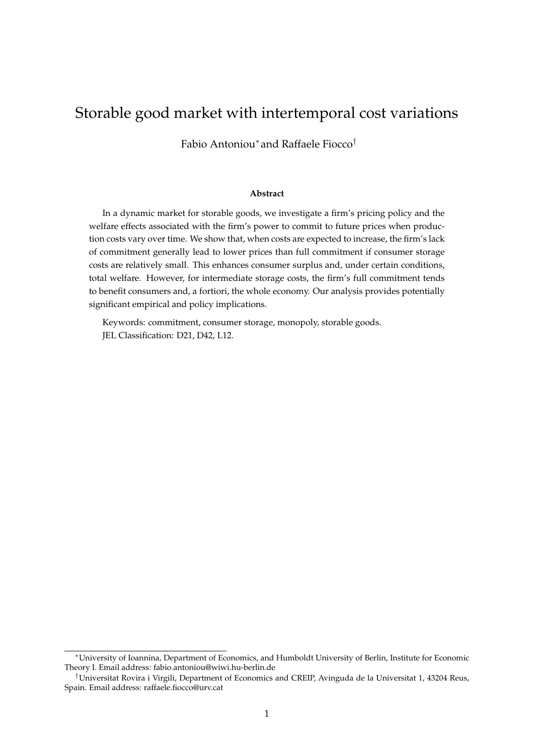# Storable good market with intertemporal cost variations

Fabio Antoniou<sup>∗</sup> and Raffaele Fiocco†

#### **Abstract**

In a dynamic market for storable goods, we investigate a firm's pricing policy and the welfare effects associated with the firm's power to commit to future prices when production costs vary over time. We show that, when costs are expected to increase, the firm's lack of commitment generally lead to lower prices than full commitment if consumer storage costs are relatively small. This enhances consumer surplus and, under certain conditions, total welfare. However, for intermediate storage costs, the firm's full commitment tends to benefit consumers and, a fortiori, the whole economy. Our analysis provides potentially significant empirical and policy implications.

Keywords: commitment, consumer storage, monopoly, storable goods. JEL Classification: D21, D42, L12.

<sup>∗</sup>University of Ioannina, Department of Economics, and Humboldt University of Berlin, Institute for Economic Theory I. Email address: fabio.antoniou@wiwi.hu-berlin.de

<sup>†</sup>Universitat Rovira i Virgili, Department of Economics and CREIP, Avinguda de la Universitat 1, 43204 Reus, Spain. Email address: raffaele.fiocco@urv.cat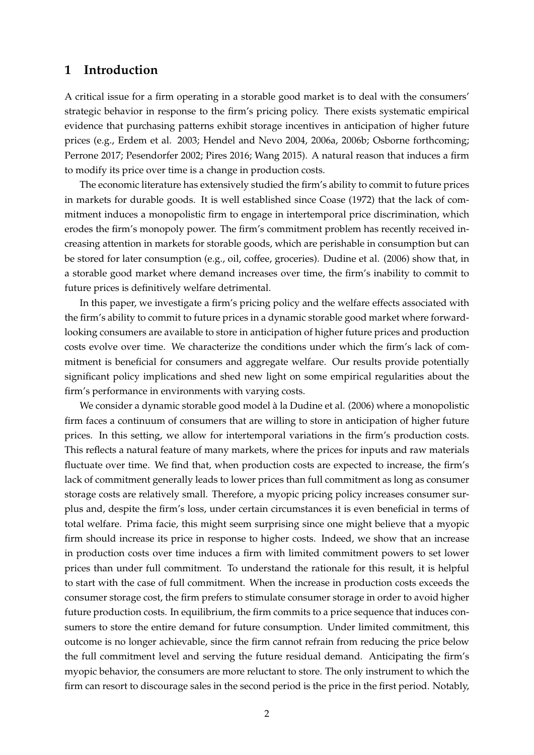## **1 Introduction**

A critical issue for a firm operating in a storable good market is to deal with the consumers' strategic behavior in response to the firm's pricing policy. There exists systematic empirical evidence that purchasing patterns exhibit storage incentives in anticipation of higher future prices (e.g., Erdem et al. 2003; Hendel and Nevo 2004, 2006a, 2006b; Osborne forthcoming; Perrone 2017; Pesendorfer 2002; Pires 2016; Wang 2015). A natural reason that induces a firm to modify its price over time is a change in production costs.

The economic literature has extensively studied the firm's ability to commit to future prices in markets for durable goods. It is well established since Coase (1972) that the lack of commitment induces a monopolistic firm to engage in intertemporal price discrimination, which erodes the firm's monopoly power. The firm's commitment problem has recently received increasing attention in markets for storable goods, which are perishable in consumption but can be stored for later consumption (e.g., oil, coffee, groceries). Dudine et al. (2006) show that, in a storable good market where demand increases over time, the firm's inability to commit to future prices is definitively welfare detrimental.

In this paper, we investigate a firm's pricing policy and the welfare effects associated with the firm's ability to commit to future prices in a dynamic storable good market where forwardlooking consumers are available to store in anticipation of higher future prices and production costs evolve over time. We characterize the conditions under which the firm's lack of commitment is beneficial for consumers and aggregate welfare. Our results provide potentially significant policy implications and shed new light on some empirical regularities about the firm's performance in environments with varying costs.

We consider a dynamic storable good model à la Dudine et al. (2006) where a monopolistic firm faces a continuum of consumers that are willing to store in anticipation of higher future prices. In this setting, we allow for intertemporal variations in the firm's production costs. This reflects a natural feature of many markets, where the prices for inputs and raw materials fluctuate over time. We find that, when production costs are expected to increase, the firm's lack of commitment generally leads to lower prices than full commitment as long as consumer storage costs are relatively small. Therefore, a myopic pricing policy increases consumer surplus and, despite the firm's loss, under certain circumstances it is even beneficial in terms of total welfare. Prima facie, this might seem surprising since one might believe that a myopic firm should increase its price in response to higher costs. Indeed, we show that an increase in production costs over time induces a firm with limited commitment powers to set lower prices than under full commitment. To understand the rationale for this result, it is helpful to start with the case of full commitment. When the increase in production costs exceeds the consumer storage cost, the firm prefers to stimulate consumer storage in order to avoid higher future production costs. In equilibrium, the firm commits to a price sequence that induces consumers to store the entire demand for future consumption. Under limited commitment, this outcome is no longer achievable, since the firm cannot refrain from reducing the price below the full commitment level and serving the future residual demand. Anticipating the firm's myopic behavior, the consumers are more reluctant to store. The only instrument to which the firm can resort to discourage sales in the second period is the price in the first period. Notably,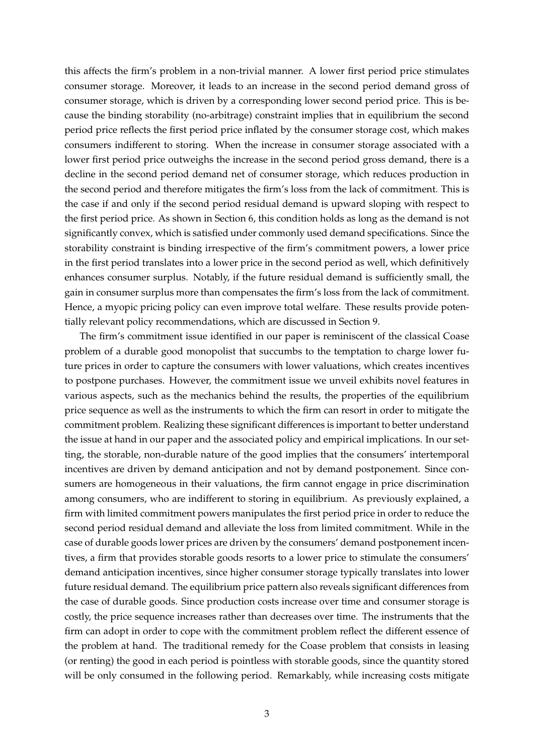this affects the firm's problem in a non-trivial manner. A lower first period price stimulates consumer storage. Moreover, it leads to an increase in the second period demand gross of consumer storage, which is driven by a corresponding lower second period price. This is because the binding storability (no-arbitrage) constraint implies that in equilibrium the second period price reflects the first period price inflated by the consumer storage cost, which makes consumers indifferent to storing. When the increase in consumer storage associated with a lower first period price outweighs the increase in the second period gross demand, there is a decline in the second period demand net of consumer storage, which reduces production in the second period and therefore mitigates the firm's loss from the lack of commitment. This is the case if and only if the second period residual demand is upward sloping with respect to the first period price. As shown in Section 6, this condition holds as long as the demand is not significantly convex, which is satisfied under commonly used demand specifications. Since the storability constraint is binding irrespective of the firm's commitment powers, a lower price in the first period translates into a lower price in the second period as well, which definitively enhances consumer surplus. Notably, if the future residual demand is sufficiently small, the gain in consumer surplus more than compensates the firm's loss from the lack of commitment. Hence, a myopic pricing policy can even improve total welfare. These results provide potentially relevant policy recommendations, which are discussed in Section 9.

The firm's commitment issue identified in our paper is reminiscent of the classical Coase problem of a durable good monopolist that succumbs to the temptation to charge lower future prices in order to capture the consumers with lower valuations, which creates incentives to postpone purchases. However, the commitment issue we unveil exhibits novel features in various aspects, such as the mechanics behind the results, the properties of the equilibrium price sequence as well as the instruments to which the firm can resort in order to mitigate the commitment problem. Realizing these significant differences is important to better understand the issue at hand in our paper and the associated policy and empirical implications. In our setting, the storable, non-durable nature of the good implies that the consumers' intertemporal incentives are driven by demand anticipation and not by demand postponement. Since consumers are homogeneous in their valuations, the firm cannot engage in price discrimination among consumers, who are indifferent to storing in equilibrium. As previously explained, a firm with limited commitment powers manipulates the first period price in order to reduce the second period residual demand and alleviate the loss from limited commitment. While in the case of durable goods lower prices are driven by the consumers' demand postponement incentives, a firm that provides storable goods resorts to a lower price to stimulate the consumers' demand anticipation incentives, since higher consumer storage typically translates into lower future residual demand. The equilibrium price pattern also reveals significant differences from the case of durable goods. Since production costs increase over time and consumer storage is costly, the price sequence increases rather than decreases over time. The instruments that the firm can adopt in order to cope with the commitment problem reflect the different essence of the problem at hand. The traditional remedy for the Coase problem that consists in leasing (or renting) the good in each period is pointless with storable goods, since the quantity stored will be only consumed in the following period. Remarkably, while increasing costs mitigate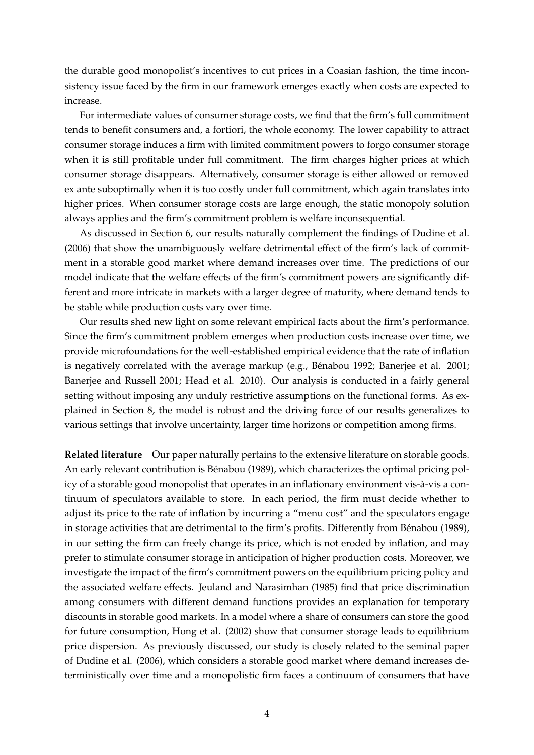the durable good monopolist's incentives to cut prices in a Coasian fashion, the time inconsistency issue faced by the firm in our framework emerges exactly when costs are expected to increase.

For intermediate values of consumer storage costs, we find that the firm's full commitment tends to benefit consumers and, a fortiori, the whole economy. The lower capability to attract consumer storage induces a firm with limited commitment powers to forgo consumer storage when it is still profitable under full commitment. The firm charges higher prices at which consumer storage disappears. Alternatively, consumer storage is either allowed or removed ex ante suboptimally when it is too costly under full commitment, which again translates into higher prices. When consumer storage costs are large enough, the static monopoly solution always applies and the firm's commitment problem is welfare inconsequential.

As discussed in Section 6, our results naturally complement the findings of Dudine et al. (2006) that show the unambiguously welfare detrimental effect of the firm's lack of commitment in a storable good market where demand increases over time. The predictions of our model indicate that the welfare effects of the firm's commitment powers are significantly different and more intricate in markets with a larger degree of maturity, where demand tends to be stable while production costs vary over time.

Our results shed new light on some relevant empirical facts about the firm's performance. Since the firm's commitment problem emerges when production costs increase over time, we provide microfoundations for the well-established empirical evidence that the rate of inflation is negatively correlated with the average markup (e.g., Bénabou 1992; Banerjee et al. 2001; Banerjee and Russell 2001; Head et al. 2010). Our analysis is conducted in a fairly general setting without imposing any unduly restrictive assumptions on the functional forms. As explained in Section 8, the model is robust and the driving force of our results generalizes to various settings that involve uncertainty, larger time horizons or competition among firms.

**Related literature** Our paper naturally pertains to the extensive literature on storable goods. An early relevant contribution is Bénabou (1989), which characterizes the optimal pricing policy of a storable good monopolist that operates in an inflationary environment vis-à-vis a continuum of speculators available to store. In each period, the firm must decide whether to adjust its price to the rate of inflation by incurring a "menu cost" and the speculators engage in storage activities that are detrimental to the firm's profits. Differently from Bénabou (1989), in our setting the firm can freely change its price, which is not eroded by inflation, and may prefer to stimulate consumer storage in anticipation of higher production costs. Moreover, we investigate the impact of the firm's commitment powers on the equilibrium pricing policy and the associated welfare effects. Jeuland and Narasimhan (1985) find that price discrimination among consumers with different demand functions provides an explanation for temporary discounts in storable good markets. In a model where a share of consumers can store the good for future consumption, Hong et al. (2002) show that consumer storage leads to equilibrium price dispersion. As previously discussed, our study is closely related to the seminal paper of Dudine et al. (2006), which considers a storable good market where demand increases deterministically over time and a monopolistic firm faces a continuum of consumers that have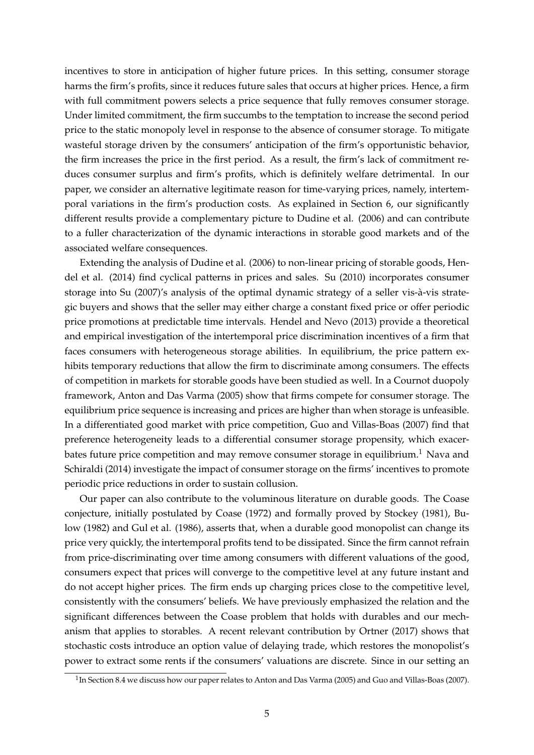incentives to store in anticipation of higher future prices. In this setting, consumer storage harms the firm's profits, since it reduces future sales that occurs at higher prices. Hence, a firm with full commitment powers selects a price sequence that fully removes consumer storage. Under limited commitment, the firm succumbs to the temptation to increase the second period price to the static monopoly level in response to the absence of consumer storage. To mitigate wasteful storage driven by the consumers' anticipation of the firm's opportunistic behavior, the firm increases the price in the first period. As a result, the firm's lack of commitment reduces consumer surplus and firm's profits, which is definitely welfare detrimental. In our paper, we consider an alternative legitimate reason for time-varying prices, namely, intertemporal variations in the firm's production costs. As explained in Section 6, our significantly different results provide a complementary picture to Dudine et al. (2006) and can contribute to a fuller characterization of the dynamic interactions in storable good markets and of the associated welfare consequences.

Extending the analysis of Dudine et al. (2006) to non-linear pricing of storable goods, Hendel et al. (2014) find cyclical patterns in prices and sales. Su (2010) incorporates consumer storage into Su (2007)'s analysis of the optimal dynamic strategy of a seller vis-à-vis strategic buyers and shows that the seller may either charge a constant fixed price or offer periodic price promotions at predictable time intervals. Hendel and Nevo (2013) provide a theoretical and empirical investigation of the intertemporal price discrimination incentives of a firm that faces consumers with heterogeneous storage abilities. In equilibrium, the price pattern exhibits temporary reductions that allow the firm to discriminate among consumers. The effects of competition in markets for storable goods have been studied as well. In a Cournot duopoly framework, Anton and Das Varma (2005) show that firms compete for consumer storage. The equilibrium price sequence is increasing and prices are higher than when storage is unfeasible. In a differentiated good market with price competition, Guo and Villas-Boas (2007) find that preference heterogeneity leads to a differential consumer storage propensity, which exacerbates future price competition and may remove consumer storage in equilibrium.<sup>1</sup> Nava and Schiraldi (2014) investigate the impact of consumer storage on the firms' incentives to promote periodic price reductions in order to sustain collusion.

Our paper can also contribute to the voluminous literature on durable goods. The Coase conjecture, initially postulated by Coase (1972) and formally proved by Stockey (1981), Bulow (1982) and Gul et al. (1986), asserts that, when a durable good monopolist can change its price very quickly, the intertemporal profits tend to be dissipated. Since the firm cannot refrain from price-discriminating over time among consumers with different valuations of the good, consumers expect that prices will converge to the competitive level at any future instant and do not accept higher prices. The firm ends up charging prices close to the competitive level, consistently with the consumers' beliefs. We have previously emphasized the relation and the significant differences between the Coase problem that holds with durables and our mechanism that applies to storables. A recent relevant contribution by Ortner (2017) shows that stochastic costs introduce an option value of delaying trade, which restores the monopolist's power to extract some rents if the consumers' valuations are discrete. Since in our setting an

 $^1$ In Section 8.4 we discuss how our paper relates to Anton and Das Varma (2005) and Guo and Villas-Boas (2007).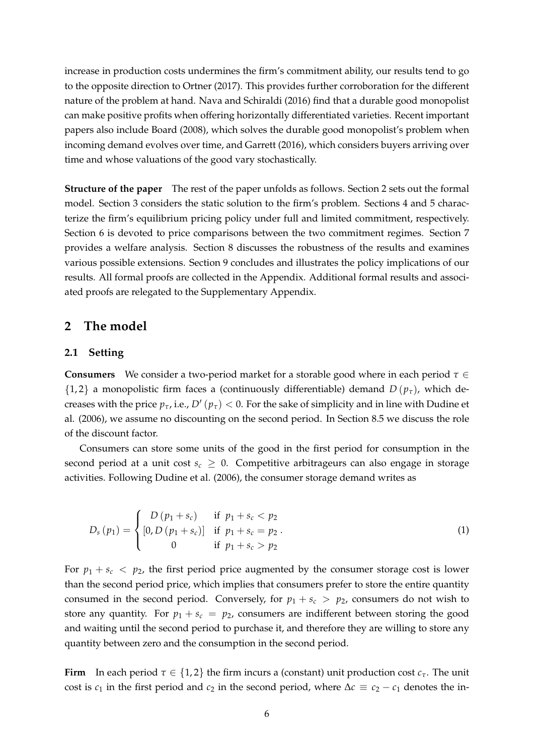increase in production costs undermines the firm's commitment ability, our results tend to go to the opposite direction to Ortner (2017). This provides further corroboration for the different nature of the problem at hand. Nava and Schiraldi (2016) find that a durable good monopolist can make positive profits when offering horizontally differentiated varieties. Recent important papers also include Board (2008), which solves the durable good monopolist's problem when incoming demand evolves over time, and Garrett (2016), which considers buyers arriving over time and whose valuations of the good vary stochastically.

**Structure of the paper** The rest of the paper unfolds as follows. Section 2 sets out the formal model. Section 3 considers the static solution to the firm's problem. Sections 4 and 5 characterize the firm's equilibrium pricing policy under full and limited commitment, respectively. Section 6 is devoted to price comparisons between the two commitment regimes. Section 7 provides a welfare analysis. Section 8 discusses the robustness of the results and examines various possible extensions. Section 9 concludes and illustrates the policy implications of our results. All formal proofs are collected in the Appendix. Additional formal results and associated proofs are relegated to the Supplementary Appendix.

## **2 The model**

#### **2.1 Setting**

**Consumers** We consider a two-period market for a storable good where in each period *τ* ∈  $\{1,2\}$  a monopolistic firm faces a (continuously differentiable) demand  $D(p_\tau)$ , which decreases with the price  $p_{\tau}$ , i.e.,  $D'(p_{\tau}) < 0$ . For the sake of simplicity and in line with Dudine et al. (2006), we assume no discounting on the second period. In Section 8.5 we discuss the role of the discount factor.

Consumers can store some units of the good in the first period for consumption in the second period at a unit cost  $s_c \geq 0$ . Competitive arbitrageurs can also engage in storage activities. Following Dudine et al. (2006), the consumer storage demand writes as

$$
D_s(p_1) = \begin{cases} D(p_1 + s_c) & \text{if } p_1 + s_c < p_2 \\ [0, D(p_1 + s_c)] & \text{if } p_1 + s_c = p_2 \\ 0 & \text{if } p_1 + s_c > p_2 \end{cases}
$$
 (1)

For  $p_1 + s_c < p_2$ , the first period price augmented by the consumer storage cost is lower than the second period price, which implies that consumers prefer to store the entire quantity consumed in the second period. Conversely, for  $p_1 + s_c > p_2$ , consumers do not wish to store any quantity. For  $p_1 + s_c = p_2$ , consumers are indifferent between storing the good and waiting until the second period to purchase it, and therefore they are willing to store any quantity between zero and the consumption in the second period.

**Firm** In each period  $\tau \in \{1,2\}$  the firm incurs a (constant) unit production cost  $c_{\tau}$ . The unit cost is  $c_1$  in the first period and  $c_2$  in the second period, where  $\Delta c \equiv c_2 - c_1$  denotes the in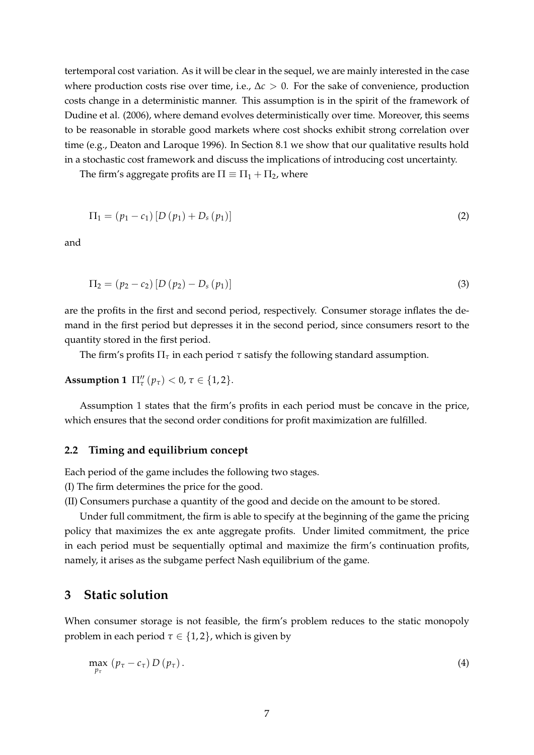tertemporal cost variation. As it will be clear in the sequel, we are mainly interested in the case where production costs rise over time, i.e.,  $\Delta c > 0$ . For the sake of convenience, production costs change in a deterministic manner. This assumption is in the spirit of the framework of Dudine et al. (2006), where demand evolves deterministically over time. Moreover, this seems to be reasonable in storable good markets where cost shocks exhibit strong correlation over time (e.g., Deaton and Laroque 1996). In Section 8.1 we show that our qualitative results hold in a stochastic cost framework and discuss the implications of introducing cost uncertainty.

The firm's aggregate profits are  $\Pi \equiv \Pi_1 + \Pi_2$ , where

$$
\Pi_1 = (p_1 - c_1) [D (p_1) + D_s (p_1)] \tag{2}
$$

and

$$
\Pi_2 = (p_2 - c_2) [D (p_2) - D_s (p_1)] \tag{3}
$$

are the profits in the first and second period, respectively. Consumer storage inflates the demand in the first period but depresses it in the second period, since consumers resort to the quantity stored in the first period.

The firm's profits  $\Pi_{\tau}$  in each period  $\tau$  satisfy the following standard assumption.

# **Assumption 1**  $\Pi_{\tau}^{"}(\mathbf{p}_{\tau}) < 0, \tau \in \{1, 2\}.$

Assumption 1 states that the firm's profits in each period must be concave in the price, which ensures that the second order conditions for profit maximization are fulfilled.

#### **2.2 Timing and equilibrium concept**

Each period of the game includes the following two stages.

(I) The firm determines the price for the good.

(II) Consumers purchase a quantity of the good and decide on the amount to be stored.

Under full commitment, the firm is able to specify at the beginning of the game the pricing policy that maximizes the ex ante aggregate profits. Under limited commitment, the price in each period must be sequentially optimal and maximize the firm's continuation profits, namely, it arises as the subgame perfect Nash equilibrium of the game.

## **3 Static solution**

When consumer storage is not feasible, the firm's problem reduces to the static monopoly problem in each period  $\tau \in \{1,2\}$ , which is given by

$$
\max_{p_{\tau}} (p_{\tau} - c_{\tau}) D (p_{\tau}). \tag{4}
$$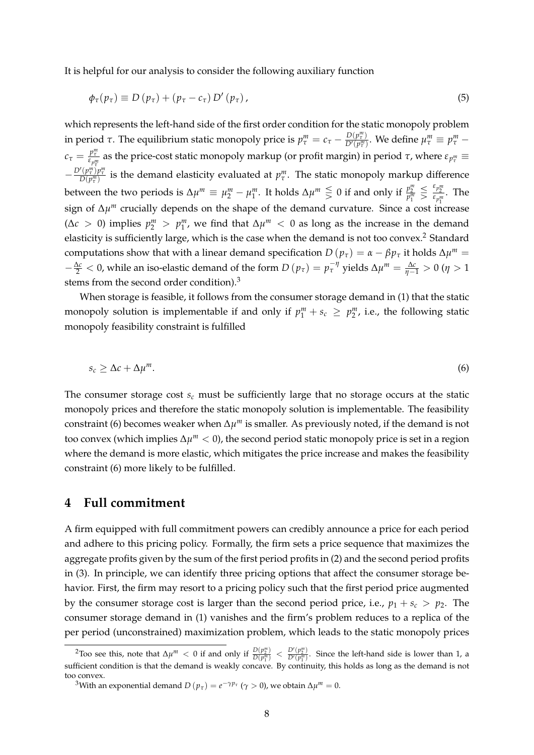It is helpful for our analysis to consider the following auxiliary function

$$
\phi_{\tau}(p_{\tau}) \equiv D(p_{\tau}) + (p_{\tau} - c_{\tau}) D'(p_{\tau}), \qquad (5)
$$

which represents the left-hand side of the first order condition for the static monopoly problem in period *τ*. The equilibrium static monopoly price is  $p_\tau^m = c_\tau - \frac{D(p_\tau^m)}{D'(p_\tau^m)}$  $\frac{D(p_\tau^m)}{D'(p_\tau^m)}$ . We define  $\mu_\tau^m \equiv p_\tau^m$ *c*<sub>*τ*</sub> =  $\frac{p^m_{\tau}}{\epsilon_{p^m_{\tau}}}$  as the price-cost static monopoly markup (or profit margin) in period *τ*, where  $\epsilon_{p^m_{\tau}} \equiv$  $-\frac{D'(p_\tau^m)p_\tau^m}{D(p_\tau^m)}$  is the demand elasticity evaluated at  $p_\tau^m$ . The static monopoly markup difference between the two periods is  $\Delta \mu^m \equiv \mu_2^m - \mu_1^m$ . It holds  $\Delta \mu^m \leq 0$  if and only if  $\frac{p_2^m}{p_1^m}$  $\leq \frac{\varepsilon_{p_2^m}}{\varepsilon_{p_1^m}}$ . The sign of Δ*µ<sup>m</sup>* crucially depends on the shape of the demand curvature. Since a cost increase ( $\Delta c > 0$ ) implies  $p_2^m > p_1^m$ , we find that  $\Delta \mu^m < 0$  as long as the increase in the demand elasticity is sufficiently large, which is the case when the demand is not too convex.<sup>2</sup> Standard computations show that with a linear demand specification  $D(p_\tau) = \alpha - \beta p_\tau$  it holds  $\Delta \mu^m =$  $-\frac{\Delta c}{2}$  < 0, while an iso-elastic demand of the form *D* (*p*<sub>τ</sub>) =  $p_{\tau}^{-\eta}$  yields  $\Delta \mu^m = \frac{\Delta c}{\eta - 1} > 0$  (*η* > 1 stems from the second order condition).<sup>3</sup>

When storage is feasible, it follows from the consumer storage demand in (1) that the static monopoly solution is implementable if and only if  $p_1^m + s_c \ge p_2^m$ , i.e., the following static monopoly feasibility constraint is fulfilled

$$
s_c \geq \Delta c + \Delta \mu^m. \tag{6}
$$

The consumer storage cost *s<sup>c</sup>* must be sufficiently large that no storage occurs at the static monopoly prices and therefore the static monopoly solution is implementable. The feasibility constraint (6) becomes weaker when ∆*µ <sup>m</sup>* is smaller. As previously noted, if the demand is not too convex (which implies ∆*µ <sup>m</sup>* < 0), the second period static monopoly price is set in a region where the demand is more elastic, which mitigates the price increase and makes the feasibility constraint (6) more likely to be fulfilled.

## **4 Full commitment**

A firm equipped with full commitment powers can credibly announce a price for each period and adhere to this pricing policy. Formally, the firm sets a price sequence that maximizes the aggregate profits given by the sum of the first period profits in (2) and the second period profits in (3). In principle, we can identify three pricing options that affect the consumer storage behavior. First, the firm may resort to a pricing policy such that the first period price augmented by the consumer storage cost is larger than the second period price, i.e.,  $p_1 + s_c > p_2$ . The consumer storage demand in (1) vanishes and the firm's problem reduces to a replica of the per period (unconstrained) maximization problem, which leads to the static monopoly prices

<sup>&</sup>lt;sup>2</sup>Too see this, note that  $\Delta \mu^m < 0$  if and only if  $\frac{D(p_2^m)}{D(n_2^m)}$  $\frac{D(p_2^m)}{D(p_1^m)} < \frac{D'(p_2^m)}{D'(p_1^m)}$ . Since the left-hand side is lower than 1, a sufficient condition is that the demand is weakly concave. By continuity, this holds as long as the demand is not too convex.

<sup>&</sup>lt;sup>3</sup>With an exponential demand  $D(p_\tau) = e^{-\gamma p_\tau}$  ( $\gamma > 0$ ), we obtain Δ $\mu^m = 0$ .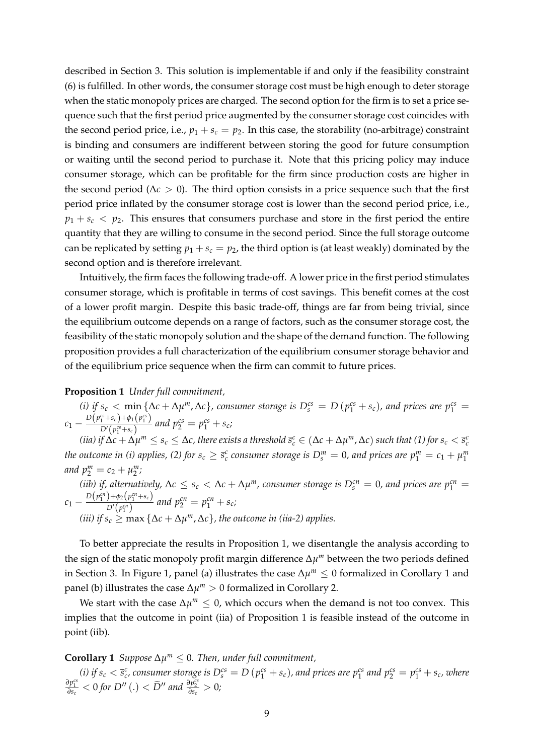described in Section 3. This solution is implementable if and only if the feasibility constraint (6) is fulfilled. In other words, the consumer storage cost must be high enough to deter storage when the static monopoly prices are charged. The second option for the firm is to set a price sequence such that the first period price augmented by the consumer storage cost coincides with the second period price, i.e.,  $p_1 + s_c = p_2$ . In this case, the storability (no-arbitrage) constraint is binding and consumers are indifferent between storing the good for future consumption or waiting until the second period to purchase it. Note that this pricing policy may induce consumer storage, which can be profitable for the firm since production costs are higher in the second period ( $\Delta c > 0$ ). The third option consists in a price sequence such that the first period price inflated by the consumer storage cost is lower than the second period price, i.e.,  $p_1 + s_c < p_2$ . This ensures that consumers purchase and store in the first period the entire quantity that they are willing to consume in the second period. Since the full storage outcome can be replicated by setting  $p_1 + s_c = p_2$ , the third option is (at least weakly) dominated by the second option and is therefore irrelevant.

Intuitively, the firm faces the following trade-off. A lower price in the first period stimulates consumer storage, which is profitable in terms of cost savings. This benefit comes at the cost of a lower profit margin. Despite this basic trade-off, things are far from being trivial, since the equilibrium outcome depends on a range of factors, such as the consumer storage cost, the feasibility of the static monopoly solution and the shape of the demand function. The following proposition provides a full characterization of the equilibrium consumer storage behavior and of the equilibrium price sequence when the firm can commit to future prices.

#### **Proposition 1** *Under full commitment,*

*(i)* if  $s_c < \min \{ \Delta c + \Delta \mu^m, \Delta c \}$ , consumer storage is  $D_s^{cs} = D(p_1^{cs} + s_c)$ , and prices are  $p_1^{cs} =$  $c_1 - \frac{D(p_1^{cs} + s_c) + \phi_1(p_1^{cs})}{D'(p_1^{cs} + s_c)}$  $\frac{p^{(1)}(p_1^c + s_c)}{D'(p_1^c + s_c)}$  and  $p_2^{cs} = p_1^{cs} + s_c$ ;

(iia) if  $\Delta c+\Delta\mu^m\leq s_c\leq\Delta c$ , there exists a threshold  $\bar{s}^c_c\in(\Delta c+\Delta\mu^m,\Delta c)$  such that (1) for  $s_c<\bar{s}^c_c$ *the outcome in (i) applies, (2) for*  $s_c \geq \bar{s}_c^c$  *consumer storage is*  $D_s^m = 0$ *, and prices are*  $p_1^m = c_1 + \mu_1^m$ *and*  $p_2^m = c_2 + \mu_2^m$ ;

 $(iib)$  *if, alternatively,*  $\Delta c \leq s_c < \Delta c + \Delta \mu^m$ , consumer storage is  $D_s^{cn} = 0$ , and prices are  $p_1^{cn} = 0$  $c_1 - \frac{D(p_1^{cn}) + \phi_2(p_1^{cn} + s_c)}{D'(p_1^{cn})}$  $\frac{D^+(p_1 + s_c)}{D^{\prime}(p_1^{cn})}$  and  $p_2^{cn} = p_1^{cn} + s_c$ ;  $(iii)$  *if*  $s_c$  ≥ max { $\Delta c + \Delta \mu^m$ ,  $\Delta c$ }, the outcome in (iia-2) applies.

To better appreciate the results in Proposition 1, we disentangle the analysis according to the sign of the static monopoly profit margin difference ∆*µ <sup>m</sup>* between the two periods defined in Section 3. In Figure 1, panel (a) illustrates the case ∆*µ <sup>m</sup>* ≤ 0 formalized in Corollary 1 and panel (b) illustrates the case ∆*µ <sup>m</sup>* > 0 formalized in Corollary 2.

We start with the case  $\Delta \mu^m \leq 0$ , which occurs when the demand is not too convex. This implies that the outcome in point (iia) of Proposition 1 is feasible instead of the outcome in point (iib).

**Corollary 1** *Suppose*  $\Delta \mu^m \leq 0$ . *Then, under full commitment,* 

(i) if  $s_c < \bar{s}_c^c$ , consumer storage is  $D_s^{cs} = D(p_1^{cs} + s_c)$ , and prices are  $p_1^{cs}$  and  $p_2^{cs} = p_1^{cs} + s_c$ , where  $\frac{\partial p_1^{cs}}{\partial s_c} < 0$  for  $D''$  (.)  $< \widetilde{D}''$  and  $\frac{\partial p_2^{cs}}{\partial s_c} > 0$ ;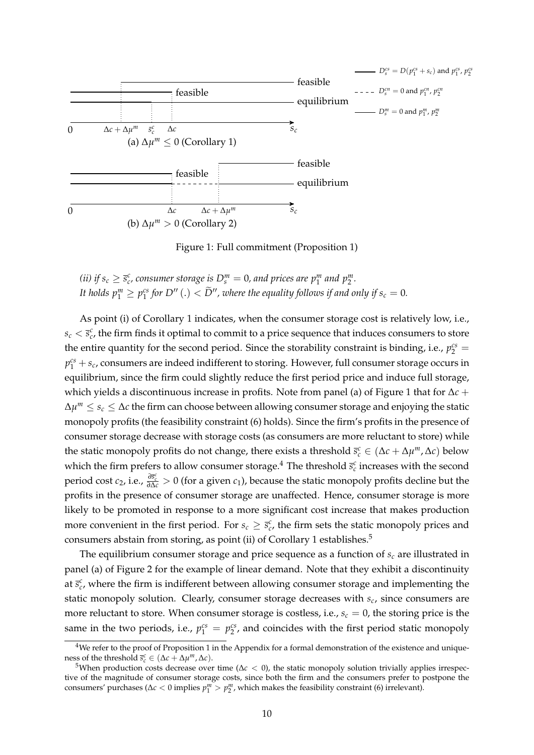

Figure 1: Full commitment (Proposition 1)

*(ii)* if  $s_c \geq \bar{s}_c^c$ , consumer storage is  $D_s^m = 0$ , and prices are  $p_1^m$  and  $p_2^m$ . It holds  $p_1^m \geq p_1^{cs}$  for  $D''$  (.)  $< \widetilde{D}''$ , where the equality follows if and only if  $s_c = 0$ .

As point (i) of Corollary 1 indicates, when the consumer storage cost is relatively low, i.e.,  $s_c < \bar{s}_c^c$ , the firm finds it optimal to commit to a price sequence that induces consumers to store the entire quantity for the second period. Since the storability constraint is binding, i.e.,  $p_2^{cs}$  =  $p_1^{cs} + s_c$ , consumers are indeed indifferent to storing. However, full consumer storage occurs in equilibrium, since the firm could slightly reduce the first period price and induce full storage, which yields a discontinuous increase in profits. Note from panel (a) of Figure 1 that for ∆*c* + ∆*µ <sup>m</sup>* ≤ *s<sup>c</sup>* ≤ ∆*c* the firm can choose between allowing consumer storage and enjoying the static monopoly profits (the feasibility constraint (6) holds). Since the firm's profits in the presence of consumer storage decrease with storage costs (as consumers are more reluctant to store) while the static monopoly profits do not change, there exists a threshold  $\bar{s}^c_c \in (\Delta c + \Delta \mu^m, \Delta c)$  below which the firm prefers to allow consumer storage.<sup>4</sup> The threshold  $\bar{s}^c_c$  increases with the second period cost  $c_2$ , i.e.,  $\frac{\partial \vec{s}_c^c}{\partial \Delta c} > 0$  (for a given  $c_1$ ), because the static monopoly profits decline but the profits in the presence of consumer storage are unaffected. Hence, consumer storage is more likely to be promoted in response to a more significant cost increase that makes production more convenient in the first period. For  $s_c \geq \bar{s}_c^c$ , the firm sets the static monopoly prices and consumers abstain from storing, as point (ii) of Corollary 1 establishes.<sup>5</sup>

The equilibrium consumer storage and price sequence as a function of  $s_c$  are illustrated in panel (a) of Figure 2 for the example of linear demand. Note that they exhibit a discontinuity at  $\bar{s}_c^c$ , where the firm is indifferent between allowing consumer storage and implementing the static monopoly solution. Clearly, consumer storage decreases with *s<sup>c</sup>* , since consumers are more reluctant to store. When consumer storage is costless, i.e.,  $s_c = 0$ , the storing price is the same in the two periods, i.e.,  $p_1^{cs} = p_2^{cs}$ , and coincides with the first period static monopoly

<sup>&</sup>lt;sup>4</sup>We refer to the proof of Proposition 1 in the Appendix for a formal demonstration of the existence and uniqueness of the threshold  $\bar{s}_c^c \in (\Delta c + \Delta \mu^m, \Delta c)$ .

<sup>&</sup>lt;sup>5</sup>When production costs decrease over time ( $\Delta c < 0$ ), the static monopoly solution trivially applies irrespective of the magnitude of consumer storage costs, since both the firm and the consumers prefer to postpone the consumers' purchases ( $\Delta c < 0$  implies  $p_1^m > p_2^m$ , which makes the feasibility constraint (6) irrelevant).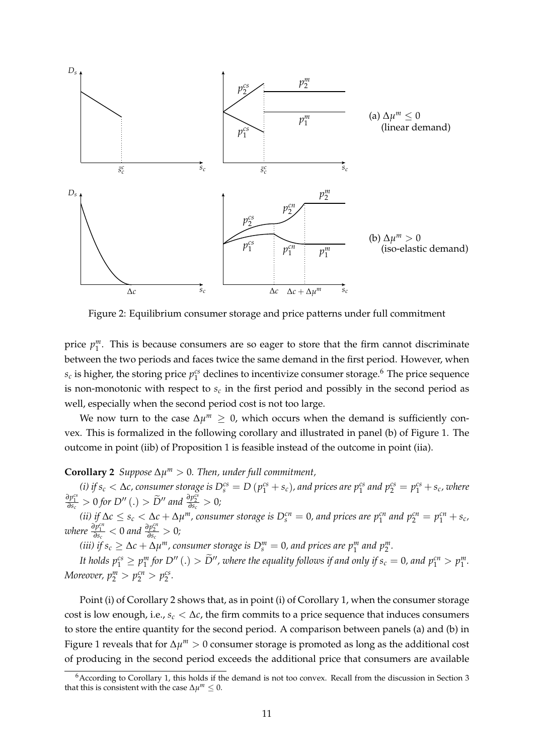

Figure 2: Equilibrium consumer storage and price patterns under full commitment

price  $p_1^m$ . This is because consumers are so eager to store that the firm cannot discriminate between the two periods and faces twice the same demand in the first period. However, when  $s_c$  is higher, the storing price  $p_1^{cs}$  declines to incentivize consumer storage.<sup>6</sup> The price sequence is non-monotonic with respect to  $s_c$  in the first period and possibly in the second period as well, especially when the second period cost is not too large.

We now turn to the case  $\Delta \mu^m \geq 0$ , which occurs when the demand is sufficiently convex. This is formalized in the following corollary and illustrated in panel (b) of Figure 1. The outcome in point (iib) of Proposition 1 is feasible instead of the outcome in point (iia).

## **Corollary 2** *Suppose*  $\Delta \mu^m > 0$ *. Then, under full commitment,*

(i) if  $s_c < \Delta c$ , consumer storage is  $D_s^{cs} = D(p_1^{cs} + s_c)$ , and prices are  $p_1^{cs}$  and  $p_2^{cs} = p_1^{cs} + s_c$ , where  $\frac{\partial p_1^{cs}}{\partial s_c} > 0$  *for*  $D''(.) > \widetilde{D}''$  and  $\frac{\partial p_2^{cs}}{\partial s_c} > 0$ ;

(ii) if  $\Delta c \leq s_c < \Delta c + \Delta \mu^m$ , consumer storage is  $D_s^{cn} = 0$ , and prices are  $p_1^{cn}$  and  $p_2^{cn} = p_1^{cn} + s_c$ ,  $\frac{\partial p_1^{cn}}{\partial s_c} < 0$  and  $\frac{\partial p_2^{cn}}{\partial s_c} > 0$ ;

*(iii)* if  $s_c \geq \Delta c + \Delta \mu^m$ , consumer storage is  $D_s^m = 0$ , and prices are  $p_1^m$  and  $p_2^m$ .

It holds  $p_1^{cs} \ge p_1^m$  for  $D''(.) > \widetilde{D}''$ , where the equality follows if and only if  $s_c = 0$ , and  $p_1^{cn} > p_1^m$ . *Moreover,*  $p_2^m > p_2^{cn} > p_2^{cs}$ .

Point (i) of Corollary 2 shows that, as in point (i) of Corollary 1, when the consumer storage cost is low enough, i.e.,  $s_c < \Delta c$ , the firm commits to a price sequence that induces consumers to store the entire quantity for the second period. A comparison between panels (a) and (b) in Figure 1 reveals that for ∆*µ <sup>m</sup>* > 0 consumer storage is promoted as long as the additional cost of producing in the second period exceeds the additional price that consumers are available

 $6$ According to Corollary 1, this holds if the demand is not too convex. Recall from the discussion in Section 3 that this is consistent with the case  $\Delta \mu^m \leq 0$ .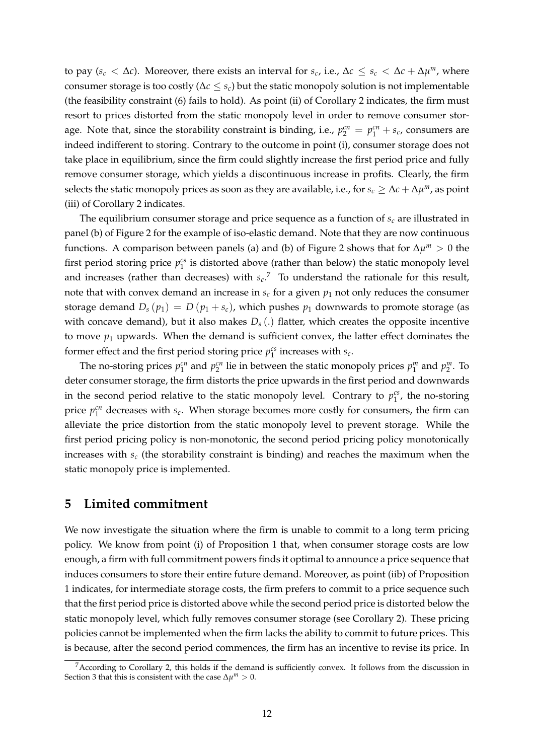to pay ( $s_c < \Delta c$ ). Moreover, there exists an interval for  $s_c$ , i.e.,  $\Delta c \leq s_c < \Delta c + \Delta \mu^m$ , where consumer storage is too costly (∆*c* ≤ *sc*) but the static monopoly solution is not implementable (the feasibility constraint (6) fails to hold). As point (ii) of Corollary 2 indicates, the firm must resort to prices distorted from the static monopoly level in order to remove consumer storage. Note that, since the storability constraint is binding, i.e.,  $p_2^{cn} = p_1^{cn} + s_c$ , consumers are indeed indifferent to storing. Contrary to the outcome in point (i), consumer storage does not take place in equilibrium, since the firm could slightly increase the first period price and fully remove consumer storage, which yields a discontinuous increase in profits. Clearly, the firm selects the static monopoly prices as soon as they are available, i.e., for  $s_c \geq \Delta c + \Delta \mu^m$ , as point (iii) of Corollary 2 indicates.

The equilibrium consumer storage and price sequence as a function of *s<sup>c</sup>* are illustrated in panel (b) of Figure 2 for the example of iso-elastic demand. Note that they are now continuous functions. A comparison between panels (a) and (b) of Figure 2 shows that for  $\Delta \mu^m > 0$  the first period storing price  $p_1^{cs}$  is distorted above (rather than below) the static monopoly level and increases (rather than decreases) with  $s_c$ <sup>7</sup> To understand the rationale for this result, note that with convex demand an increase in  $s_c$  for a given  $p_1$  not only reduces the consumer storage demand  $D_s(p_1) = D(p_1 + s_c)$ , which pushes  $p_1$  downwards to promote storage (as with concave demand), but it also makes  $D_s(.)$  flatter, which creates the opposite incentive to move  $p_1$  upwards. When the demand is sufficient convex, the latter effect dominates the former effect and the first period storing price  $p_1^{cs}$  increases with  $s_c$ .

The no-storing prices  $p_1^{cn}$  and  $p_2^{cn}$  lie in between the static monopoly prices  $p_1^m$  and  $p_2^m$ . To deter consumer storage, the firm distorts the price upwards in the first period and downwards in the second period relative to the static monopoly level. Contrary to  $p_1^{cs}$ , the no-storing price  $p_1^{cn}$  decreases with  $s_c$ . When storage becomes more costly for consumers, the firm can alleviate the price distortion from the static monopoly level to prevent storage. While the first period pricing policy is non-monotonic, the second period pricing policy monotonically increases with *s<sup>c</sup>* (the storability constraint is binding) and reaches the maximum when the static monopoly price is implemented.

## **5 Limited commitment**

We now investigate the situation where the firm is unable to commit to a long term pricing policy. We know from point (i) of Proposition 1 that, when consumer storage costs are low enough, a firm with full commitment powers finds it optimal to announce a price sequence that induces consumers to store their entire future demand. Moreover, as point (iib) of Proposition 1 indicates, for intermediate storage costs, the firm prefers to commit to a price sequence such that the first period price is distorted above while the second period price is distorted below the static monopoly level, which fully removes consumer storage (see Corollary 2). These pricing policies cannot be implemented when the firm lacks the ability to commit to future prices. This is because, after the second period commences, the firm has an incentive to revise its price. In

<sup>&</sup>lt;sup>7</sup> According to Corollary 2, this holds if the demand is sufficiently convex. It follows from the discussion in Section 3 that this is consistent with the case  $\Delta \mu^m > 0$ .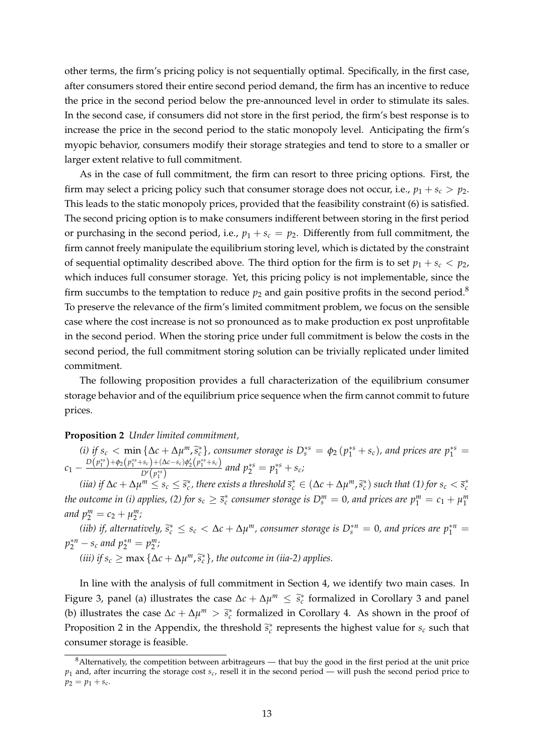other terms, the firm's pricing policy is not sequentially optimal. Specifically, in the first case, after consumers stored their entire second period demand, the firm has an incentive to reduce the price in the second period below the pre-announced level in order to stimulate its sales. In the second case, if consumers did not store in the first period, the firm's best response is to increase the price in the second period to the static monopoly level. Anticipating the firm's myopic behavior, consumers modify their storage strategies and tend to store to a smaller or larger extent relative to full commitment.

As in the case of full commitment, the firm can resort to three pricing options. First, the firm may select a pricing policy such that consumer storage does not occur, i.e.,  $p_1 + s_c > p_2$ . This leads to the static monopoly prices, provided that the feasibility constraint (6) is satisfied. The second pricing option is to make consumers indifferent between storing in the first period or purchasing in the second period, i.e.,  $p_1 + s_c = p_2$ . Differently from full commitment, the firm cannot freely manipulate the equilibrium storing level, which is dictated by the constraint of sequential optimality described above. The third option for the firm is to set  $p_1 + s_c < p_2$ , which induces full consumer storage. Yet, this pricing policy is not implementable, since the firm succumbs to the temptation to reduce  $p_2$  and gain positive profits in the second period.<sup>8</sup> To preserve the relevance of the firm's limited commitment problem, we focus on the sensible case where the cost increase is not so pronounced as to make production ex post unprofitable in the second period. When the storing price under full commitment is below the costs in the second period, the full commitment storing solution can be trivially replicated under limited commitment.

The following proposition provides a full characterization of the equilibrium consumer storage behavior and of the equilibrium price sequence when the firm cannot commit to future prices.

#### **Proposition 2** *Under limited commitment,*

(i) if  $s_c < \min \{\Delta c + \Delta \mu^m, \tilde{s}_c^*\}$ , consumer storage is  $D_s^{*s} = \phi_2(p_1^{*s} + s_c)$ , and prices are  $p_1^{*s} = D_s^{(m)*s}$  $c_1 - \frac{D(p_1^{**}) + \phi_2(p_1^{**} + s_c) + (\Delta c - s_c) \phi_2'(p_1^{**} + s_c)}{D'(p_1^{**})}$  $\frac{p^2s_c + (\Delta c - s_c)\phi_2(p_1^s + s_c)}{p^s_p + p_2^s}$  and  $p_2^{*s} = p_1^{*s} + s_c$ ;

(iia) if  $\Delta c + \Delta \mu^m \le s_c \le \tilde{s}_c^*$ , there exists a threshold  $\overline{s}_c^* \in (\Delta c + \Delta \mu^m, \tilde{s}_c^*)$  such that (1) for  $s_c < \overline{s}_c^*$ *the outcome in (i) applies, (2) for*  $s_c \geq \overline{s}_c^*$  *consumer storage is*  $D_s^m = 0$ *, and prices are*  $p_1^m = c_1 + \mu_1^m$ *and*  $p_2^m = c_2 + \mu_2^m$ ;

*(iib)* if, alternatively,  $\tilde{s}_c^* \le s_c < \Delta c + \Delta \mu^m$ , consumer storage is  $D_s^{*n} = 0$ , and prices are  $p_1^{*n} =$  $p_2^{*n} - s_c$  and  $p_2^{*n} = p_2^m$ ;

*(iii) if*  $s_c \ge \max{\{\Delta c + \Delta \mu^m, \tilde{s}_c^*\}}$ , the outcome in (iia-2) applies.

In line with the analysis of full commitment in Section 4, we identify two main cases. In Figure 3, panel (a) illustrates the case  $\Delta c + \Delta \mu^m \leq \tilde{s}_c^*$  formalized in Corollary 3 and panel (b) illustrates the case  $\Delta c + \Delta \mu^m > \tilde{s}_c^*$  formalized in Corollary 4. As shown in the proof of Proposition 2 in the Appendix, the threshold  $\tilde{s}_c^*$  represents the highest value for  $s_c$  such that consumer storage is feasible.

 $8$ Alternatively, the competition between arbitrageurs — that buy the good in the first period at the unit price  $p_1$  and, after incurring the storage cost  $s_c$ , resell it in the second period — will push the second period price to  $p_2 = p_1 + s_c$ .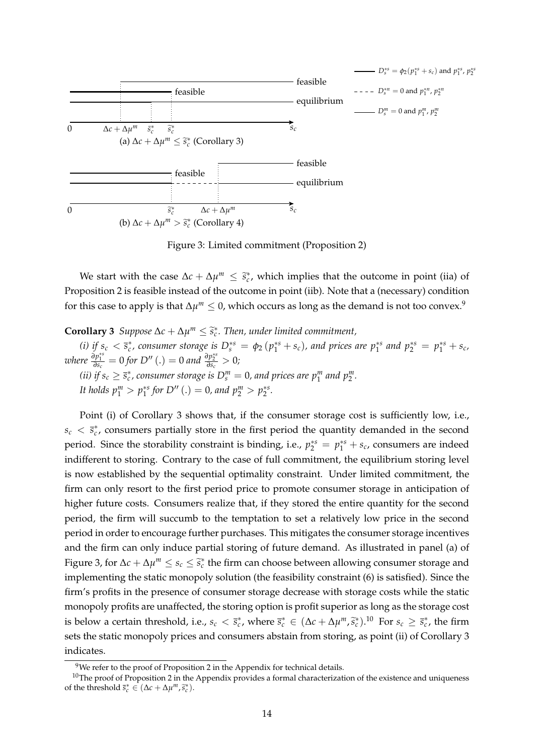

Figure 3: Limited commitment (Proposition 2)

We start with the case  $\Delta c + \Delta \mu^m \leq \tilde{s}_c^*$ , which implies that the outcome in point (iia) of Proposition 2 is feasible instead of the outcome in point (iib). Note that a (necessary) condition for this case to apply is that  $\Delta\mu^m\leq 0$ , which occurs as long as the demand is not too convex.<sup>9</sup>

**Corollary 3** *Suppose*  $\Delta c + \Delta \mu^m \leq \tilde{s}_c^*$ . Then, under limited commitment,

(i) if  $s_c < \bar{s}_c^*$ , consumer storage is  $D_s^{*s} = \phi_2(p_1^{*s} + s_c)$ , and prices are  $p_1^{*s}$  and  $p_2^{*s} = p_1^{*s} + s_c$ , *where*  $\frac{\partial p_1^{*s}}{\partial s_c} = 0$  *for*  $D''$  (.) = 0 *and*  $\frac{\partial p_2^{*s}}{\partial s_c} > 0$ ; *(ii)* if  $s_c \geq \overline{s}_c^*$ , consumer storage is  $D_s^m = 0$ , and prices are  $p_1^m$  and  $p_2^m$ .

*It holds*  $p_1^m > p_1^{*s}$  for  $D''$  (.) = 0*, and*  $p_2^m > p_2^{*s}$ .

Point (i) of Corollary 3 shows that, if the consumer storage cost is sufficiently low, i.e.,  $s_c < \bar{s}_c^*$ , consumers partially store in the first period the quantity demanded in the second period. Since the storability constraint is binding, i.e.,  $p_2^{*s} = p_1^{*s} + s_c$ , consumers are indeed indifferent to storing. Contrary to the case of full commitment, the equilibrium storing level is now established by the sequential optimality constraint. Under limited commitment, the firm can only resort to the first period price to promote consumer storage in anticipation of higher future costs. Consumers realize that, if they stored the entire quantity for the second period, the firm will succumb to the temptation to set a relatively low price in the second period in order to encourage further purchases. This mitigates the consumer storage incentives and the firm can only induce partial storing of future demand. As illustrated in panel (a) of Figure 3, for  $\Delta c + \Delta \mu^m \le s_c \le \tilde{s}_c^*$  the firm can choose between allowing consumer storage and implementing the static monopoly solution (the feasibility constraint (6) is satisfied). Since the firm's profits in the presence of consumer storage decrease with storage costs while the static monopoly profits are unaffected, the storing option is profit superior as long as the storage cost is below a certain threshold, i.e.,  $s_c < \bar{s}_c^*$ , where  $\bar{s}_c^* \in (\Delta c + \Delta \mu^m, \tilde{s}_c^*)$ .<sup>10</sup> For  $s_c \ge \bar{s}_c^*$ , the firm sets the static monopoly prices and consumers abstain from storing, as point (ii) of Corollary 3 indicates.

<sup>&</sup>lt;sup>9</sup>We refer to the proof of Proposition 2 in the Appendix for technical details.

 $10$ The proof of Proposition 2 in the Appendix provides a formal characterization of the existence and uniqueness of the threshold  $\overline{s}_c^* \in (\Delta c + \Delta \mu^m, \widetilde{s}_c^*)$ .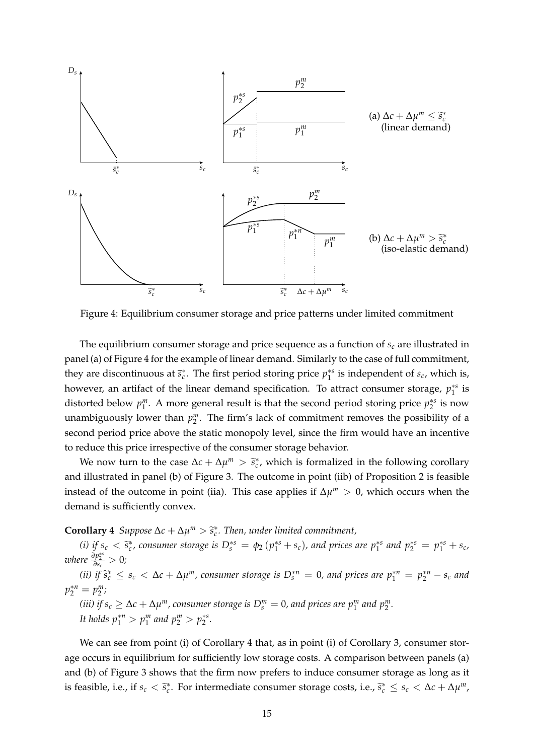

Figure 4: Equilibrium consumer storage and price patterns under limited commitment

The equilibrium consumer storage and price sequence as a function of *s<sup>c</sup>* are illustrated in panel (a) of Figure 4 for the example of linear demand. Similarly to the case of full commitment, they are discontinuous at  $\bar{s}_c^*$ . The first period storing price  $p_1^{*s}$  is independent of  $s_c$ , which is, however, an artifact of the linear demand specification. To attract consumer storage,  $p_1^{*s}$  is distorted below  $p_1^m$ . A more general result is that the second period storing price  $p_2^{*s}$  is now unambiguously lower than  $p_2^m$ . The firm's lack of commitment removes the possibility of a second period price above the static monopoly level, since the firm would have an incentive to reduce this price irrespective of the consumer storage behavior.

We now turn to the case  $\Delta c + \Delta \mu^m > \tilde{s}_c^*$ , which is formalized in the following corollary and illustrated in panel (b) of Figure 3. The outcome in point (iib) of Proposition 2 is feasible instead of the outcome in point (iia). This case applies if  $\Delta \mu^m > 0$ , which occurs when the demand is sufficiently convex.

# **Corollary 4** *Suppose*  $\Delta c + \Delta \mu^m > \tilde{s}_c^*$ . Then, under limited commitment,

(i) if  $s_c < \tilde{s}_c^*$ , consumer storage is  $D_s^{*s} = \phi_2(p_1^{*s} + s_c)$ , and prices are  $p_1^{*s}$  and  $p_2^{*s} = p_1^{*s} + s_c$ ,  $\frac{\partial n_s^{*s}}{\partial n_s^{*s}} = \frac{\partial n_s^{*s}}{\partial n_s^{*s}}$  $\frac{\partial p_2^{*s}}{\partial s_c} > 0$ ;

(ii) if  $\tilde{s}_c^* \le s_c < \Delta c + \Delta \mu^m$ , consumer storage is  $D_s^{*n} = 0$ , and prices are  $p_1^{*n} = p_2^{*n} - s_c$  and  $p_2^{*n} = p_2^m;$ *(iii)* if  $s_c \geq \Delta c + \Delta \mu^m$ , consumer storage is  $D_s^m = 0$ , and prices are  $p_1^m$  and  $p_2^m$ . *It holds*  $p_1^{*n} > p_1^m$  and  $p_2^m > p_2^{*s}$ .

We can see from point (i) of Corollary 4 that, as in point (i) of Corollary 3, consumer storage occurs in equilibrium for sufficiently low storage costs. A comparison between panels (a) and (b) of Figure 3 shows that the firm now prefers to induce consumer storage as long as it is feasible, i.e., if  $s_c < \tilde{s}_c^*$ . For intermediate consumer storage costs, i.e.,  $\tilde{s}_c^* \le s_c < \Delta c + \Delta \mu^m$ ,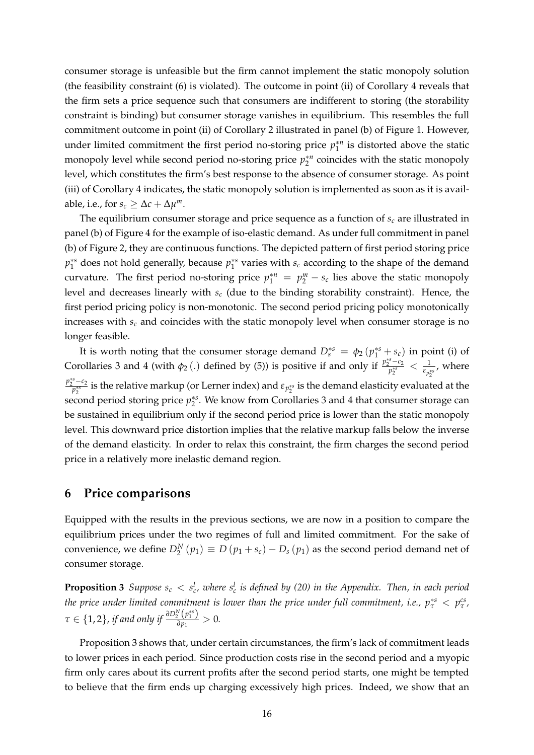consumer storage is unfeasible but the firm cannot implement the static monopoly solution (the feasibility constraint (6) is violated). The outcome in point (ii) of Corollary 4 reveals that the firm sets a price sequence such that consumers are indifferent to storing (the storability constraint is binding) but consumer storage vanishes in equilibrium. This resembles the full commitment outcome in point (ii) of Corollary 2 illustrated in panel (b) of Figure 1. However, under limited commitment the first period no-storing price  $p_1^{*n}$  is distorted above the static monopoly level while second period no-storing price  $p_2^{*n}$  coincides with the static monopoly level, which constitutes the firm's best response to the absence of consumer storage. As point (iii) of Corollary 4 indicates, the static monopoly solution is implemented as soon as it is available, i.e., for  $s_c \geq \Delta c + \Delta \mu^m$ .

The equilibrium consumer storage and price sequence as a function of *s<sup>c</sup>* are illustrated in panel (b) of Figure 4 for the example of iso-elastic demand. As under full commitment in panel (b) of Figure 2, they are continuous functions. The depicted pattern of first period storing price  $p_1^{*s}$  does not hold generally, because  $p_1^{*s}$  varies with  $s_c$  according to the shape of the demand curvature. The first period no-storing price  $p_1^{*n} = p_2^m - s_c$  lies above the static monopoly level and decreases linearly with *s<sup>c</sup>* (due to the binding storability constraint). Hence, the first period pricing policy is non-monotonic. The second period pricing policy monotonically increases with *s<sup>c</sup>* and coincides with the static monopoly level when consumer storage is no longer feasible.

It is worth noting that the consumer storage demand  $D_s^{*s} = \phi_2 (p_1^{*s} + s_c)$  in point (i) of Corollaries 3 and 4 (with  $\phi_2$  (.) defined by (5)) is positive if and only if  $\frac{p_2^{*s}-c_2}{p_2^{**}} < \frac{1}{\epsilon_{p_2^{**}}}$ , where  $p_2^{*s-c_2}$  is the relative markup (or Lerner index) and  $\varepsilon_{p_2^{**}}$  is the demand elasticity evaluated at the second period storing price  $p_2^{*s}$ . We know from Corollaries 3 and 4 that consumer storage can be sustained in equilibrium only if the second period price is lower than the static monopoly level. This downward price distortion implies that the relative markup falls below the inverse of the demand elasticity. In order to relax this constraint, the firm charges the second period price in a relatively more inelastic demand region.

### **6 Price comparisons**

Equipped with the results in the previous sections, we are now in a position to compare the equilibrium prices under the two regimes of full and limited commitment. For the sake of convenience, we define  $D_2^N(p_1) \equiv D(p_1 + s_c) - D_s(p_1)$  as the second period demand net of consumer storage.

**Proposition 3** Suppose  $s_c < s_c^l$ , where  $s_c^l$  is defined by (20) in the Appendix. Then, in each period *the price under limited commitment is lower than the price under full commitment, i.e.,*  $p^{*s}_\tau < p^{cs}_\tau$ *,*  $\tau \in \{1,2\}$ , if and only if  $\frac{\partial D^N_2(p^{*s}_1)}{\partial p_1}$  $\frac{2}{\partial p_1}$  > 0.

Proposition 3 shows that, under certain circumstances, the firm's lack of commitment leads to lower prices in each period. Since production costs rise in the second period and a myopic firm only cares about its current profits after the second period starts, one might be tempted to believe that the firm ends up charging excessively high prices. Indeed, we show that an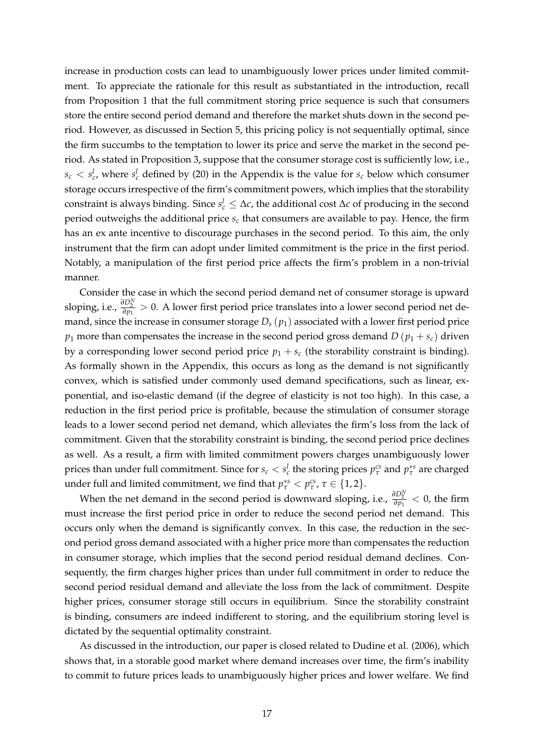increase in production costs can lead to unambiguously lower prices under limited commitment. To appreciate the rationale for this result as substantiated in the introduction, recall from Proposition 1 that the full commitment storing price sequence is such that consumers store the entire second period demand and therefore the market shuts down in the second period. However, as discussed in Section 5, this pricing policy is not sequentially optimal, since the firm succumbs to the temptation to lower its price and serve the market in the second period. As stated in Proposition 3, suppose that the consumer storage cost is sufficiently low, i.e.,  $s_c < s_c^l$ , where  $s_c^l$  defined by (20) in the Appendix is the value for  $s_c$  below which consumer storage occurs irrespective of the firm's commitment powers, which implies that the storability constraint is always binding. Since  $s_c^l \leq \Delta c$ , the additional cost  $\Delta c$  of producing in the second period outweighs the additional price *s<sup>c</sup>* that consumers are available to pay. Hence, the firm has an ex ante incentive to discourage purchases in the second period. To this aim, the only instrument that the firm can adopt under limited commitment is the price in the first period. Notably, a manipulation of the first period price affects the firm's problem in a non-trivial manner.

Consider the case in which the second period demand net of consumer storage is upward sloping, i.e.,  $\frac{\partial D_2^N}{\partial p_1} > 0$ . A lower first period price translates into a lower second period net demand, since the increase in consumer storage  $D_s(p_1)$  associated with a lower first period price *p*<sub>1</sub> more than compensates the increase in the second period gross demand  $D(p_1 + s_c)$  driven by a corresponding lower second period price  $p_1 + s_c$  (the storability constraint is binding). As formally shown in the Appendix, this occurs as long as the demand is not significantly convex, which is satisfied under commonly used demand specifications, such as linear, exponential, and iso-elastic demand (if the degree of elasticity is not too high). In this case, a reduction in the first period price is profitable, because the stimulation of consumer storage leads to a lower second period net demand, which alleviates the firm's loss from the lack of commitment. Given that the storability constraint is binding, the second period price declines as well. As a result, a firm with limited commitment powers charges unambiguously lower prices than under full commitment. Since for  $s_c < s_c^l$  the storing prices  $p_\tau^{cs}$  and  $p_\tau^{*s}$  are charged under full and limited commitment, we find that  $p^{*s}_{\tau} < p^{cs}_{\tau}$ ,  $\tau \in \{1,2\}$ .

When the net demand in the second period is downward sloping, i.e.,  $\frac{\partial D_2^N}{\partial p_1} < 0$ , the firm must increase the first period price in order to reduce the second period net demand. This occurs only when the demand is significantly convex. In this case, the reduction in the second period gross demand associated with a higher price more than compensates the reduction in consumer storage, which implies that the second period residual demand declines. Consequently, the firm charges higher prices than under full commitment in order to reduce the second period residual demand and alleviate the loss from the lack of commitment. Despite higher prices, consumer storage still occurs in equilibrium. Since the storability constraint is binding, consumers are indeed indifferent to storing, and the equilibrium storing level is dictated by the sequential optimality constraint.

As discussed in the introduction, our paper is closed related to Dudine et al. (2006), which shows that, in a storable good market where demand increases over time, the firm's inability to commit to future prices leads to unambiguously higher prices and lower welfare. We find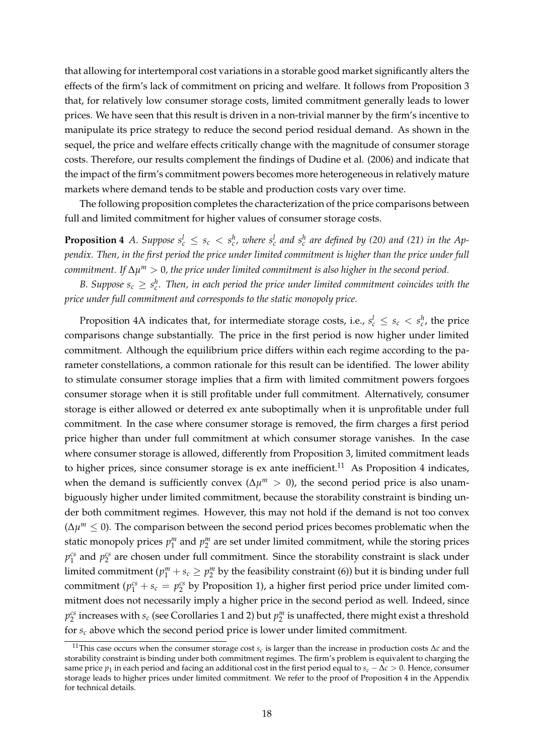that allowing for intertemporal cost variations in a storable good market significantly alters the effects of the firm's lack of commitment on pricing and welfare. It follows from Proposition 3 that, for relatively low consumer storage costs, limited commitment generally leads to lower prices. We have seen that this result is driven in a non-trivial manner by the firm's incentive to manipulate its price strategy to reduce the second period residual demand. As shown in the sequel, the price and welfare effects critically change with the magnitude of consumer storage costs. Therefore, our results complement the findings of Dudine et al. (2006) and indicate that the impact of the firm's commitment powers becomes more heterogeneous in relatively mature markets where demand tends to be stable and production costs vary over time.

The following proposition completes the characterization of the price comparisons between full and limited commitment for higher values of consumer storage costs.

**Proposition 4** A. Suppose  $s_c^l \leq s_c < s_c^h$ , where  $s_c^l$  and  $s_c^h$  are defined by (20) and (21) in the Ap*pendix. Then, in the first period the price under limited commitment is higher than the price under full commitment. If* ∆*µ <sup>m</sup>* > 0*, the price under limited commitment is also higher in the second period.*

*B.* Suppose  $s_c \geq s_c^h$ . Then, in each period the price under limited commitment coincides with the *price under full commitment and corresponds to the static monopoly price.*

Proposition 4A indicates that, for intermediate storage costs, i.e.,  $s_c^l \leq s_c < s_c^h$ , the price comparisons change substantially. The price in the first period is now higher under limited commitment. Although the equilibrium price differs within each regime according to the parameter constellations, a common rationale for this result can be identified. The lower ability to stimulate consumer storage implies that a firm with limited commitment powers forgoes consumer storage when it is still profitable under full commitment. Alternatively, consumer storage is either allowed or deterred ex ante suboptimally when it is unprofitable under full commitment. In the case where consumer storage is removed, the firm charges a first period price higher than under full commitment at which consumer storage vanishes. In the case where consumer storage is allowed, differently from Proposition 3, limited commitment leads to higher prices, since consumer storage is ex ante inefficient.<sup>11</sup> As Proposition 4 indicates, when the demand is sufficiently convex ( $\Delta \mu^m > 0$ ), the second period price is also unambiguously higher under limited commitment, because the storability constraint is binding under both commitment regimes. However, this may not hold if the demand is not too convex (∆*µ <sup>m</sup>* ≤ 0). The comparison between the second period prices becomes problematic when the static monopoly prices  $p_1^m$  and  $p_2^m$  are set under limited commitment, while the storing prices  $p_1^{cs}$  and  $p_2^{cs}$  are chosen under full commitment. Since the storability constraint is slack under limited commitment ( $p_1^m + s_c \ge p_2^m$  by the feasibility constraint (6)) but it is binding under full commitment ( $p_1^{cs} + s_c = p_2^{cs}$  by Proposition 1), a higher first period price under limited commitment does not necessarily imply a higher price in the second period as well. Indeed, since  $p_2^{cs}$  increases with  $s_c$  (see Corollaries 1 and 2) but  $p_2^m$  is unaffected, there might exist a threshold for *s<sup>c</sup>* above which the second period price is lower under limited commitment.

<sup>11</sup>This case occurs when the consumer storage cost *s<sup>c</sup>* is larger than the increase in production costs ∆*c* and the storability constraint is binding under both commitment regimes. The firm's problem is equivalent to charging the same price  $p_1$  in each period and facing an additional cost in the first period equal to  $s_c - \Delta c > 0$ . Hence, consumer storage leads to higher prices under limited commitment. We refer to the proof of Proposition 4 in the Appendix for technical details.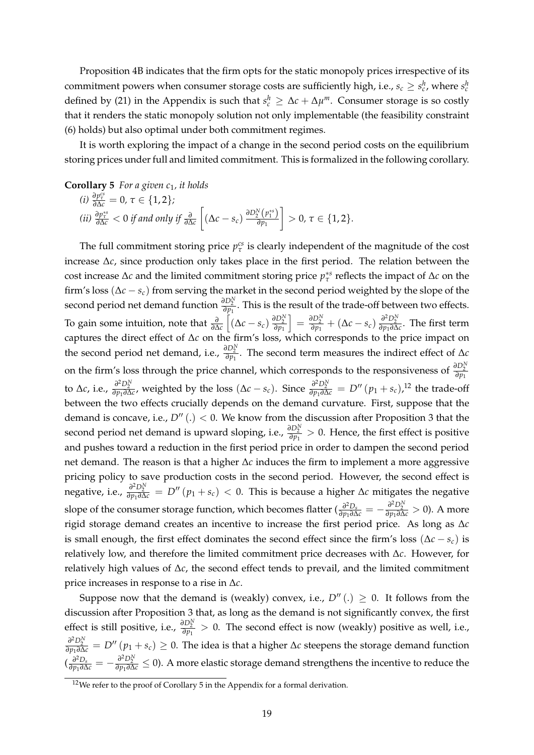Proposition 4B indicates that the firm opts for the static monopoly prices irrespective of its commitment powers when consumer storage costs are sufficiently high, i.e.,  $s_c \geq s_c^h$ , where  $s_c^h$ defined by (21) in the Appendix is such that  $s_c^h \geq \Delta c + \Delta \mu^m$ . Consumer storage is so costly that it renders the static monopoly solution not only implementable (the feasibility constraint (6) holds) but also optimal under both commitment regimes.

It is worth exploring the impact of a change in the second period costs on the equilibrium storing prices under full and limited commitment. This is formalized in the following corollary.

**Corollary 5** *For a given c<sub>1</sub>, it holds* 

(i) 
$$
\frac{\partial p_{\tau}^{cs}}{\partial \Delta c} = 0, \tau \in \{1, 2\};
$$
  
\n(ii)  $\frac{\partial p_{\tau}^{ss}}{\partial \Delta c} < 0$  if and only if  $\frac{\partial}{\partial \Delta c} \left[ (\Delta c - s_c) \frac{\partial D_2^N(p_1^{ss})}{\partial p_1} \right] > 0, \tau \in \{1, 2\}.$ 

The full commitment storing price  $p_{\tau}^{cs}$  is clearly independent of the magnitude of the cost increase ∆*c*, since production only takes place in the first period. The relation between the cost increase  $\Delta c$  and the limited commitment storing price  $p_{\tau}^{*s}$  reflects the impact of  $\Delta c$  on the firm's loss (∆*c* − *sc*) from serving the market in the second period weighted by the slope of the second period net demand function  $\frac{\partial D_2^N}{\partial p_1}$ . This is the result of the trade-off between two effects. To gain some intuition, note that *<sup>∂</sup> ∂*∆*c*  $\left[ \left( \Delta c - s_c \right) \frac{\partial D_2^N}{\partial p_1} \right]$  $\int$  =  $\frac{\partial D_2^N}{\partial p_1}$  + (Δ*c* − *s<sub>c</sub>*)  $\frac{\partial^2 D_2^N}{\partial p_1 \partial \Delta c}$ . The first term captures the direct effect of ∆*c* on the firm's loss, which corresponds to the price impact on the second period net demand, i.e.,  $\frac{\partial D_2^N}{\partial p_1}$ . The second term measures the indirect effect of  $\Delta c$ on the firm's loss through the price channel, which corresponds to the responsiveness of  $\frac{\partial D_2^N}{\partial p_1}$ to  $\Delta c$ , i.e.,  $\frac{\partial^2 D_2^N}{\partial p_1 \partial \Delta c}$ , weighted by the loss  $(\Delta c - s_c)$ . Since  $\frac{\partial^2 D_2^N}{\partial p_1 \partial \Delta c} = D''(p_1 + s_c)$ ,<sup>12</sup> the trade-off between the two effects crucially depends on the demand curvature. First, suppose that the demand is concave, i.e.,  $D''(.) < 0$ . We know from the discussion after Proposition 3 that the second period net demand is upward sloping, i.e.,  $\frac{\partial D_2^N}{\partial p_1} > 0$ . Hence, the first effect is positive and pushes toward a reduction in the first period price in order to dampen the second period net demand. The reason is that a higher ∆*c* induces the firm to implement a more aggressive pricing policy to save production costs in the second period. However, the second effect is  $\frac{\partial^2 D_2^N}{\partial p_1 \partial \Delta c}$  =  $D''(p_1 + s_c)$  < 0. This is because a higher ∆*c* mitigates the negative slope of the consumer storage function, which becomes flatter ( $\frac{\partial^2 D_s}{\partial p_1 \partial \Delta c} = -\frac{\partial^2 D_2^N}{\partial p_1 \partial \Delta c} > 0$ ). A more rigid storage demand creates an incentive to increase the first period price. As long as ∆*c* is small enough, the first effect dominates the second effect since the firm's loss ( $\Delta c - s_c$ ) is relatively low, and therefore the limited commitment price decreases with ∆*c*. However, for relatively high values of ∆*c*, the second effect tends to prevail, and the limited commitment price increases in response to a rise in ∆*c*.

Suppose now that the demand is (weakly) convex, i.e.,  $D''(.) \geq 0$ . It follows from the discussion after Proposition 3 that, as long as the demand is not significantly convex, the first effect is still positive, i.e.,  $\frac{\partial D_2^N}{\partial p_1} > 0$ . The second effect is now (weakly) positive as well, i.e.,  $\frac{\partial^2 D_2^N}{\partial p_1 \partial \Delta c}$  = *D*<sup>*n*</sup> (*p*<sub>1</sub> + *s*<sub>*c*</sub>) ≥ 0. The idea is that a higher ∆*c* steepens the storage demand function  $\left(\frac{\partial^2 D_s}{\partial p_1 \partial \Delta c} = -\frac{\partial^2 D_2^N}{\partial p_1 \partial \Delta c} \leq 0\right)$ . A more elastic storage demand strengthens the incentive to reduce the

 $12$ We refer to the proof of Corollary 5 in the Appendix for a formal derivation.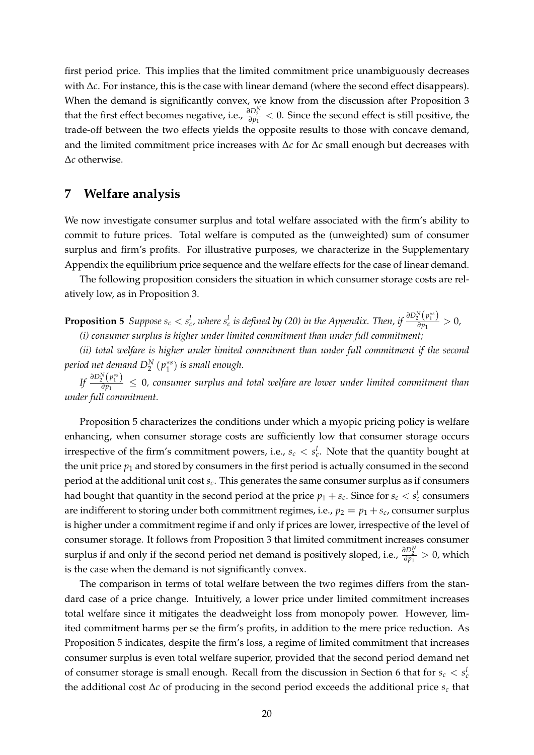first period price. This implies that the limited commitment price unambiguously decreases with ∆*c*. For instance, this is the case with linear demand (where the second effect disappears). When the demand is significantly convex, we know from the discussion after Proposition 3 that the first effect becomes negative, i.e.,  $\frac{\partial D_2^N}{\partial p_1} < 0$ . Since the second effect is still positive, the trade-off between the two effects yields the opposite results to those with concave demand, and the limited commitment price increases with ∆*c* for ∆*c* small enough but decreases with ∆*c* otherwise.

## **7 Welfare analysis**

We now investigate consumer surplus and total welfare associated with the firm's ability to commit to future prices. Total welfare is computed as the (unweighted) sum of consumer surplus and firm's profits. For illustrative purposes, we characterize in the Supplementary Appendix the equilibrium price sequence and the welfare effects for the case of linear demand.

The following proposition considers the situation in which consumer storage costs are relatively low, as in Proposition 3.

**Proposition 5** Suppose  $s_c < s_c^l$ , where  $s_c^l$  is defined by (20) in the Appendix. Then, if  $\frac{\partial D_2^N(p_1^{**})}{\partial p_1}$  $\frac{2}{\partial p_1}$  → 0*, (i) consumer surplus is higher under limited commitment than under full commitment;*

*(ii) total welfare is higher under limited commitment than under full commitment if the second period net demand D<sup>N</sup>* 2 (*p* ∗*s* 1 ) *is small enough.*

 $\iint \frac{\partial D_2^N(p_1^{*s})}{\partial p_1}$  $\frac{P_1\left(P_1\right)}{\partial p_1}$  ≤ 0, consumer surplus and total welfare are lower under limited commitment than *under full commitment.*

Proposition 5 characterizes the conditions under which a myopic pricing policy is welfare enhancing, when consumer storage costs are sufficiently low that consumer storage occurs irrespective of the firm's commitment powers, i.e.,  $s_c < s_c^l$ . Note that the quantity bought at the unit price  $p_1$  and stored by consumers in the first period is actually consumed in the second period at the additional unit cost *s<sup>c</sup>* . This generates the same consumer surplus as if consumers had bought that quantity in the second period at the price  $p_1 + s_c$ . Since for  $s_c < s_c^l$  consumers are indifferent to storing under both commitment regimes, i.e.,  $p_2 = p_1 + s_c$ , consumer surplus is higher under a commitment regime if and only if prices are lower, irrespective of the level of consumer storage. It follows from Proposition 3 that limited commitment increases consumer surplus if and only if the second period net demand is positively sloped, i.e.,  $\frac{\partial D_2^N}{\partial p_1} > 0$ , which is the case when the demand is not significantly convex.

The comparison in terms of total welfare between the two regimes differs from the standard case of a price change. Intuitively, a lower price under limited commitment increases total welfare since it mitigates the deadweight loss from monopoly power. However, limited commitment harms per se the firm's profits, in addition to the mere price reduction. As Proposition 5 indicates, despite the firm's loss, a regime of limited commitment that increases consumer surplus is even total welfare superior, provided that the second period demand net of consumer storage is small enough. Recall from the discussion in Section 6 that for  $s_c < s_c^l$ the additional cost ∆*c* of producing in the second period exceeds the additional price *s<sup>c</sup>* that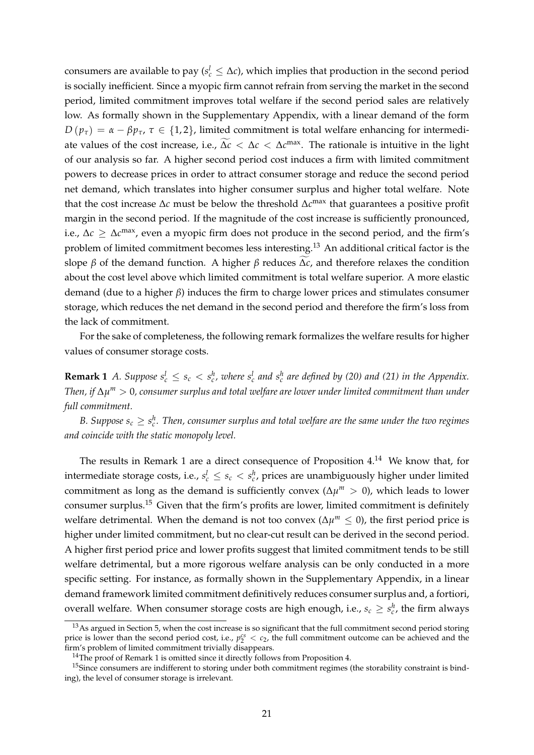consumers are available to pay ( $s_c^l \leq \Delta c$ ), which implies that production in the second period is socially inefficient. Since a myopic firm cannot refrain from serving the market in the second period, limited commitment improves total welfare if the second period sales are relatively low. As formally shown in the Supplementary Appendix, with a linear demand of the form  $D(p_\tau) = \alpha - \beta p_\tau$ ,  $\tau \in \{1,2\}$ , limited commitment is total welfare enhancing for intermediate values of the cost increase, i.e.,  $\Delta c < \Delta c < \Delta c^{max}$ . The rationale is intuitive in the light of our analysis so far. A higher second period cost induces a firm with limited commitment powers to decrease prices in order to attract consumer storage and reduce the second period net demand, which translates into higher consumer surplus and higher total welfare. Note that the cost increase ∆*c* must be below the threshold ∆*c* max that guarantees a positive profit margin in the second period. If the magnitude of the cost increase is sufficiently pronounced, i.e., ∆*c* ≥ ∆*c* max, even a myopic firm does not produce in the second period, and the firm's problem of limited commitment becomes less interesting.<sup>13</sup> An additional critical factor is the slope  $\beta$  of the demand function. A higher  $\beta$  reduces  $\Delta c$ , and therefore relaxes the condition about the cost level above which limited commitment is total welfare superior. A more elastic demand (due to a higher *β*) induces the firm to charge lower prices and stimulates consumer storage, which reduces the net demand in the second period and therefore the firm's loss from the lack of commitment.

For the sake of completeness, the following remark formalizes the welfare results for higher values of consumer storage costs.

**Remark 1** *A.* Suppose  $s_c^l \leq s_c < s_c^h$ , where  $s_c^l$  and  $s_c^h$  are defined by (20) and (21) in the Appendix. *Then, if* ∆*µ <sup>m</sup>* > 0*, consumer surplus and total welfare are lower under limited commitment than under full commitment.*

*B. Suppose*  $s_c \geq s_c^h$ . Then, consumer surplus and total welfare are the same under the two regimes *and coincide with the static monopoly level.*

The results in Remark 1 are a direct consequence of Proposition 4.<sup>14</sup> We know that, for intermediate storage costs, i.e.,  $s_c^l \leq s_c < s_c^h$ , prices are unambiguously higher under limited commitment as long as the demand is sufficiently convex ( $\Delta \mu^m > 0$ ), which leads to lower consumer surplus.<sup>15</sup> Given that the firm's profits are lower, limited commitment is definitely welfare detrimental. When the demand is not too convex ( $\Delta \mu^m \leq 0$ ), the first period price is higher under limited commitment, but no clear-cut result can be derived in the second period. A higher first period price and lower profits suggest that limited commitment tends to be still welfare detrimental, but a more rigorous welfare analysis can be only conducted in a more specific setting. For instance, as formally shown in the Supplementary Appendix, in a linear demand framework limited commitment definitively reduces consumer surplus and, a fortiori, overall welfare. When consumer storage costs are high enough, i.e.,  $s_c \geq s_c^h$ , the firm always

<sup>&</sup>lt;sup>13</sup>As argued in Section 5, when the cost increase is so significant that the full commitment second period storing price is lower than the second period cost, i.e.,  $p_2^{cs} < c_2$ , the full commitment outcome can be achieved and the firm's problem of limited commitment trivially disappears.

<sup>&</sup>lt;sup>14</sup>The proof of Remark 1 is omitted since it directly follows from Proposition 4.

 $15$ Since consumers are indifferent to storing under both commitment regimes (the storability constraint is binding), the level of consumer storage is irrelevant.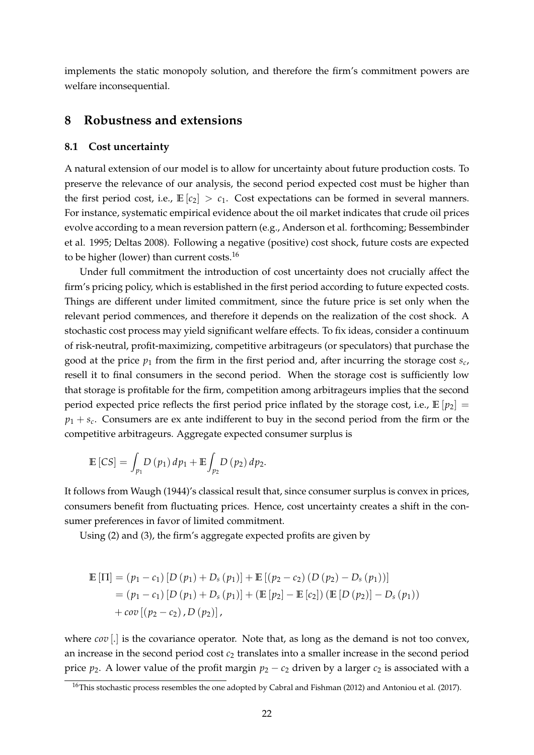implements the static monopoly solution, and therefore the firm's commitment powers are welfare inconsequential.

## **8 Robustness and extensions**

#### **8.1 Cost uncertainty**

A natural extension of our model is to allow for uncertainty about future production costs. To preserve the relevance of our analysis, the second period expected cost must be higher than the first period cost, i.e.,  $\mathbb{E}[c_2] > c_1$ . Cost expectations can be formed in several manners. For instance, systematic empirical evidence about the oil market indicates that crude oil prices evolve according to a mean reversion pattern (e.g., Anderson et al. forthcoming; Bessembinder et al. 1995; Deltas 2008). Following a negative (positive) cost shock, future costs are expected to be higher (lower) than current costs.<sup>16</sup>

Under full commitment the introduction of cost uncertainty does not crucially affect the firm's pricing policy, which is established in the first period according to future expected costs. Things are different under limited commitment, since the future price is set only when the relevant period commences, and therefore it depends on the realization of the cost shock. A stochastic cost process may yield significant welfare effects. To fix ideas, consider a continuum of risk-neutral, profit-maximizing, competitive arbitrageurs (or speculators) that purchase the good at the price *p*<sup>1</sup> from the firm in the first period and, after incurring the storage cost *s<sup>c</sup>* , resell it to final consumers in the second period. When the storage cost is sufficiently low that storage is profitable for the firm, competition among arbitrageurs implies that the second period expected price reflects the first period price inflated by the storage cost, i.e.,  $\mathbb{E}[p_2] =$  $p_1 + s_c$ . Consumers are ex ante indifferent to buy in the second period from the firm or the competitive arbitrageurs. Aggregate expected consumer surplus is

$$
\mathbb{E}\left[CS\right] = \int_{p_1} D\left(p_1\right) dp_1 + \mathbb{E} \int_{p_2} D\left(p_2\right) dp_2.
$$

It follows from Waugh (1944)'s classical result that, since consumer surplus is convex in prices, consumers benefit from fluctuating prices. Hence, cost uncertainty creates a shift in the consumer preferences in favor of limited commitment.

Using (2) and (3), the firm's aggregate expected profits are given by

$$
\mathbb{E} [\Pi] = (p_1 - c_1) [D (p_1) + D_s (p_1)] + \mathbb{E} [(p_2 - c_2) (D (p_2) - D_s (p_1))]
$$
  
= (p\_1 - c\_1) [D (p\_1) + D\_s (p\_1)] + (\mathbb{E} [p\_2] - \mathbb{E} [c\_2]) (\mathbb{E} [D (p\_2)] - D\_s (p\_1))  
+ cov [(p\_2 - c\_2), D (p\_2)],

where *cov* [.] is the covariance operator. Note that, as long as the demand is not too convex, an increase in the second period cost  $c_2$  translates into a smaller increase in the second period price  $p_2$ . A lower value of the profit margin  $p_2 - c_2$  driven by a larger  $c_2$  is associated with a

<sup>&</sup>lt;sup>16</sup>This stochastic process resembles the one adopted by Cabral and Fishman (2012) and Antoniou et al. (2017).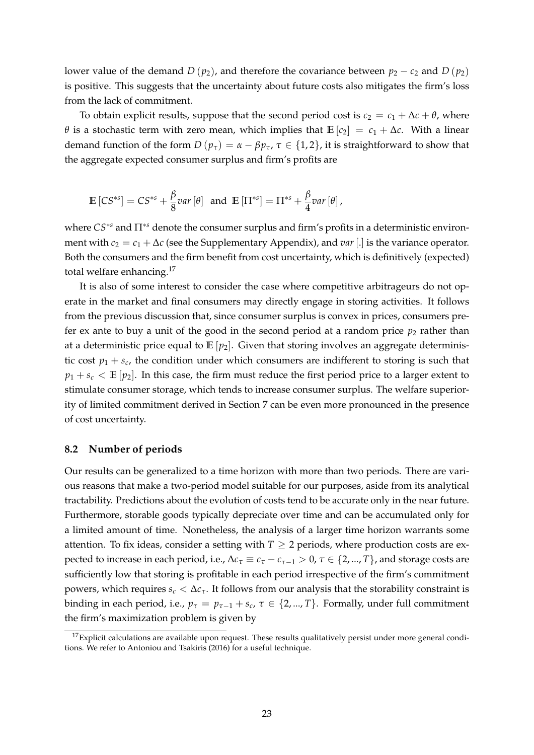lower value of the demand  $D(p_2)$ , and therefore the covariance between  $p_2 - c_2$  and  $D(p_2)$ is positive. This suggests that the uncertainty about future costs also mitigates the firm's loss from the lack of commitment.

To obtain explicit results, suppose that the second period cost is  $c_2 = c_1 + \Delta c + \theta$ , where *θ* is a stochastic term with zero mean, which implies that  $\mathbb{E}[c_2] = c_1 + \Delta c$ . With a linear demand function of the form  $D(p_\tau) = \alpha - \beta p_\tau$ ,  $\tau \in \{1, 2\}$ , it is straightforward to show that the aggregate expected consumer surplus and firm's profits are

$$
\mathbb{E}\left[CS^{*s}\right] = CS^{*s} + \frac{\beta}{8}var\left[\theta\right] \text{ and } \mathbb{E}\left[\Pi^{*s}\right] = \Pi^{*s} + \frac{\beta}{4}var\left[\theta\right],
$$

where *CS*∗*<sup>s</sup>* and Π∗*<sup>s</sup>* denote the consumer surplus and firm's profits in a deterministic environment with  $c_2 = c_1 + \Delta c$  (see the Supplementary Appendix), and *var* [.] is the variance operator. Both the consumers and the firm benefit from cost uncertainty, which is definitively (expected) total welfare enhancing.<sup>17</sup>

It is also of some interest to consider the case where competitive arbitrageurs do not operate in the market and final consumers may directly engage in storing activities. It follows from the previous discussion that, since consumer surplus is convex in prices, consumers prefer ex ante to buy a unit of the good in the second period at a random price  $p_2$  rather than at a deterministic price equal to  $\mathbb{E}[p_2]$ . Given that storing involves an aggregate deterministic cost  $p_1 + s_c$ , the condition under which consumers are indifferent to storing is such that  $p_1 + s_c < \mathbb{E}[p_2]$ . In this case, the firm must reduce the first period price to a larger extent to stimulate consumer storage, which tends to increase consumer surplus. The welfare superiority of limited commitment derived in Section 7 can be even more pronounced in the presence of cost uncertainty.

#### **8.2 Number of periods**

Our results can be generalized to a time horizon with more than two periods. There are various reasons that make a two-period model suitable for our purposes, aside from its analytical tractability. Predictions about the evolution of costs tend to be accurate only in the near future. Furthermore, storable goods typically depreciate over time and can be accumulated only for a limited amount of time. Nonetheless, the analysis of a larger time horizon warrants some attention. To fix ideas, consider a setting with  $T \geq 2$  periods, where production costs are expected to increase in each period, i.e.,  $\Delta c_{\tau} \equiv c_{\tau} - c_{\tau-1} > 0$ ,  $\tau \in \{2, ..., T\}$ , and storage costs are sufficiently low that storing is profitable in each period irrespective of the firm's commitment powers, which requires  $s_c < \Delta c_{\tau}$ . It follows from our analysis that the storability constraint is binding in each period, i.e.,  $p_{\tau} = p_{\tau-1} + s_c$ ,  $\tau \in \{2, ..., T\}$ . Formally, under full commitment the firm's maximization problem is given by

 $17$ Explicit calculations are available upon request. These results qualitatively persist under more general conditions. We refer to Antoniou and Tsakiris (2016) for a useful technique.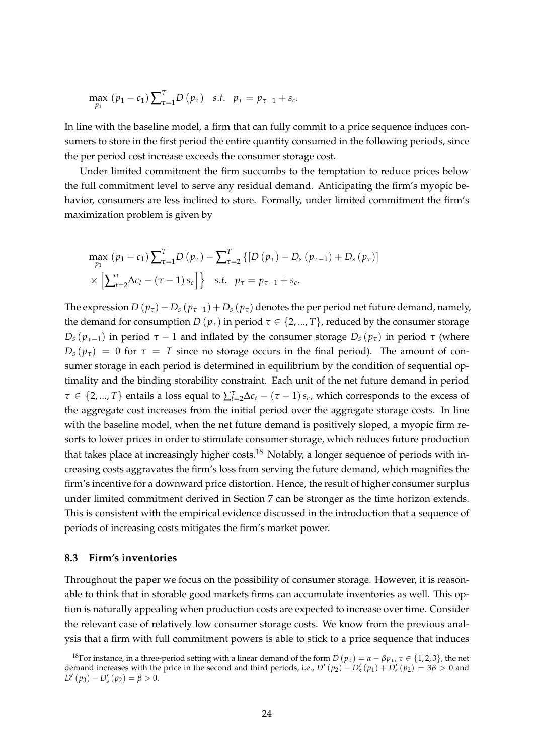$$
\max_{p_1} (p_1 - c_1) \sum_{\tau=1}^T D(p_\tau) \quad s.t. \quad p_\tau = p_{\tau-1} + s_c.
$$

In line with the baseline model, a firm that can fully commit to a price sequence induces consumers to store in the first period the entire quantity consumed in the following periods, since the per period cost increase exceeds the consumer storage cost.

Under limited commitment the firm succumbs to the temptation to reduce prices below the full commitment level to serve any residual demand. Anticipating the firm's myopic behavior, consumers are less inclined to store. Formally, under limited commitment the firm's maximization problem is given by

$$
\max_{p_1} (p_1 - c_1) \sum_{\tau=1}^T D(p_\tau) - \sum_{\tau=2}^T \{ [D(p_\tau) - D_s(p_{\tau-1}) + D_s(p_\tau)] \times \left[ \sum_{t=2}^T \Delta c_t - (\tau - 1) s_c \right] \} \quad s.t. \quad p_\tau = p_{\tau-1} + s_c.
$$

The expression  $D(p_\tau) - D_s(p_{\tau-1}) + D_s(p_\tau)$  denotes the per period net future demand, namely, the demand for consumption *D* ( $p_{\tau}$ ) in period  $\tau \in \{2, ..., T\}$ , reduced by the consumer storage *D*<sup>*s*</sup> ( $p$ <sup>*τ*</sup> $-1$ ) *in period τ* − 1 and inflated by the consumer storage *D*<sup>*s*</sup> ( $p$ <sup>*τ*</sup>) *in period τ* (where  $D_s(p_\tau) = 0$  for  $\tau = T$  since no storage occurs in the final period). The amount of consumer storage in each period is determined in equilibrium by the condition of sequential optimality and the binding storability constraint. Each unit of the net future demand in period  $\tau \in \{2,...,T\}$  entails a loss equal to  $\sum_{t=2}^{T} \Delta c_t - (\tau - 1) s_c$ , which corresponds to the excess of the aggregate cost increases from the initial period over the aggregate storage costs. In line with the baseline model, when the net future demand is positively sloped, a myopic firm resorts to lower prices in order to stimulate consumer storage, which reduces future production that takes place at increasingly higher costs.<sup>18</sup> Notably, a longer sequence of periods with increasing costs aggravates the firm's loss from serving the future demand, which magnifies the firm's incentive for a downward price distortion. Hence, the result of higher consumer surplus under limited commitment derived in Section 7 can be stronger as the time horizon extends. This is consistent with the empirical evidence discussed in the introduction that a sequence of periods of increasing costs mitigates the firm's market power.

#### **8.3 Firm's inventories**

Throughout the paper we focus on the possibility of consumer storage. However, it is reasonable to think that in storable good markets firms can accumulate inventories as well. This option is naturally appealing when production costs are expected to increase over time. Consider the relevant case of relatively low consumer storage costs. We know from the previous analysis that a firm with full commitment powers is able to stick to a price sequence that induces

<sup>&</sup>lt;sup>18</sup>For instance, in a three-period setting with a linear demand of the form  $D(p_\tau) = \alpha - \beta p_\tau$ ,  $\tau \in \{1,2,3\}$ , the net demand increases with the price in the second and third periods, i.e.,  $D'(p_2) - D'_s(p_1) + D'_s(p_2) = 3\beta > 0$  and  $D'(p_3) - D'_s(p_2) = \beta > 0.$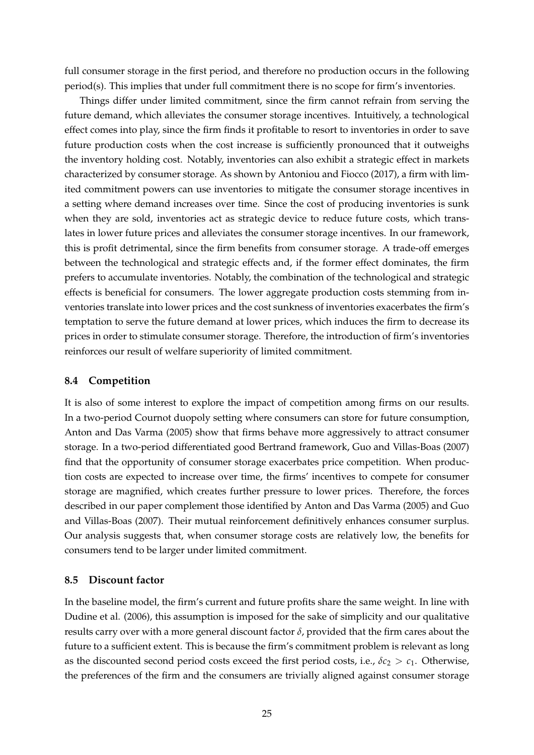full consumer storage in the first period, and therefore no production occurs in the following period(s). This implies that under full commitment there is no scope for firm's inventories.

Things differ under limited commitment, since the firm cannot refrain from serving the future demand, which alleviates the consumer storage incentives. Intuitively, a technological effect comes into play, since the firm finds it profitable to resort to inventories in order to save future production costs when the cost increase is sufficiently pronounced that it outweighs the inventory holding cost. Notably, inventories can also exhibit a strategic effect in markets characterized by consumer storage. As shown by Antoniou and Fiocco (2017), a firm with limited commitment powers can use inventories to mitigate the consumer storage incentives in a setting where demand increases over time. Since the cost of producing inventories is sunk when they are sold, inventories act as strategic device to reduce future costs, which translates in lower future prices and alleviates the consumer storage incentives. In our framework, this is profit detrimental, since the firm benefits from consumer storage. A trade-off emerges between the technological and strategic effects and, if the former effect dominates, the firm prefers to accumulate inventories. Notably, the combination of the technological and strategic effects is beneficial for consumers. The lower aggregate production costs stemming from inventories translate into lower prices and the cost sunkness of inventories exacerbates the firm's temptation to serve the future demand at lower prices, which induces the firm to decrease its prices in order to stimulate consumer storage. Therefore, the introduction of firm's inventories reinforces our result of welfare superiority of limited commitment.

#### **8.4 Competition**

It is also of some interest to explore the impact of competition among firms on our results. In a two-period Cournot duopoly setting where consumers can store for future consumption, Anton and Das Varma (2005) show that firms behave more aggressively to attract consumer storage. In a two-period differentiated good Bertrand framework, Guo and Villas-Boas (2007) find that the opportunity of consumer storage exacerbates price competition. When production costs are expected to increase over time, the firms' incentives to compete for consumer storage are magnified, which creates further pressure to lower prices. Therefore, the forces described in our paper complement those identified by Anton and Das Varma (2005) and Guo and Villas-Boas (2007). Their mutual reinforcement definitively enhances consumer surplus. Our analysis suggests that, when consumer storage costs are relatively low, the benefits for consumers tend to be larger under limited commitment.

## **8.5 Discount factor**

In the baseline model, the firm's current and future profits share the same weight. In line with Dudine et al. (2006), this assumption is imposed for the sake of simplicity and our qualitative results carry over with a more general discount factor *δ*, provided that the firm cares about the future to a sufficient extent. This is because the firm's commitment problem is relevant as long as the discounted second period costs exceed the first period costs, i.e.,  $\delta c_2 > c_1$ . Otherwise, the preferences of the firm and the consumers are trivially aligned against consumer storage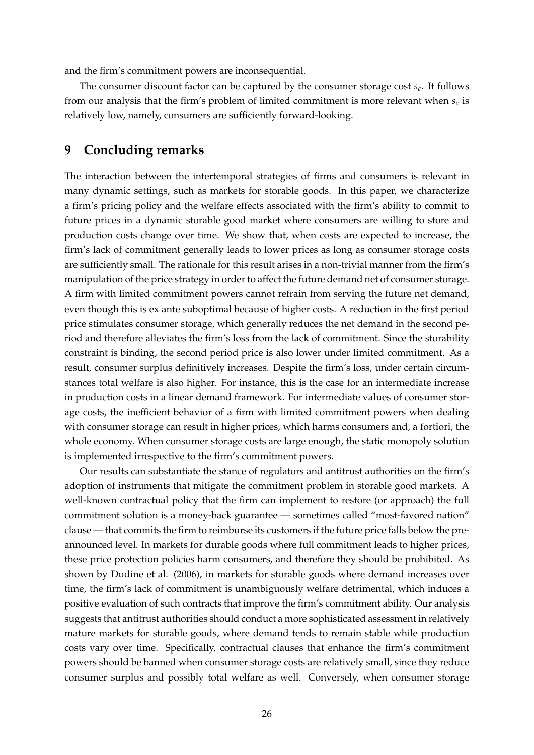and the firm's commitment powers are inconsequential.

The consumer discount factor can be captured by the consumer storage cost *s<sup>c</sup>* . It follows from our analysis that the firm's problem of limited commitment is more relevant when *s<sup>c</sup>* is relatively low, namely, consumers are sufficiently forward-looking.

## **9 Concluding remarks**

The interaction between the intertemporal strategies of firms and consumers is relevant in many dynamic settings, such as markets for storable goods. In this paper, we characterize a firm's pricing policy and the welfare effects associated with the firm's ability to commit to future prices in a dynamic storable good market where consumers are willing to store and production costs change over time. We show that, when costs are expected to increase, the firm's lack of commitment generally leads to lower prices as long as consumer storage costs are sufficiently small. The rationale for this result arises in a non-trivial manner from the firm's manipulation of the price strategy in order to affect the future demand net of consumer storage. A firm with limited commitment powers cannot refrain from serving the future net demand, even though this is ex ante suboptimal because of higher costs. A reduction in the first period price stimulates consumer storage, which generally reduces the net demand in the second period and therefore alleviates the firm's loss from the lack of commitment. Since the storability constraint is binding, the second period price is also lower under limited commitment. As a result, consumer surplus definitively increases. Despite the firm's loss, under certain circumstances total welfare is also higher. For instance, this is the case for an intermediate increase in production costs in a linear demand framework. For intermediate values of consumer storage costs, the inefficient behavior of a firm with limited commitment powers when dealing with consumer storage can result in higher prices, which harms consumers and, a fortiori, the whole economy. When consumer storage costs are large enough, the static monopoly solution is implemented irrespective to the firm's commitment powers.

Our results can substantiate the stance of regulators and antitrust authorities on the firm's adoption of instruments that mitigate the commitment problem in storable good markets. A well-known contractual policy that the firm can implement to restore (or approach) the full commitment solution is a money-back guarantee — sometimes called "most-favored nation" clause — that commits the firm to reimburse its customers if the future price falls below the preannounced level. In markets for durable goods where full commitment leads to higher prices, these price protection policies harm consumers, and therefore they should be prohibited. As shown by Dudine et al. (2006), in markets for storable goods where demand increases over time, the firm's lack of commitment is unambiguously welfare detrimental, which induces a positive evaluation of such contracts that improve the firm's commitment ability. Our analysis suggests that antitrust authorities should conduct a more sophisticated assessment in relatively mature markets for storable goods, where demand tends to remain stable while production costs vary over time. Specifically, contractual clauses that enhance the firm's commitment powers should be banned when consumer storage costs are relatively small, since they reduce consumer surplus and possibly total welfare as well. Conversely, when consumer storage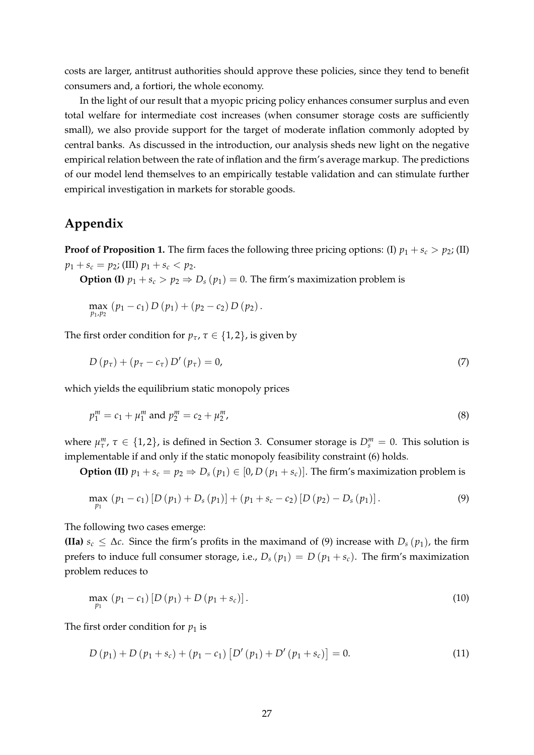costs are larger, antitrust authorities should approve these policies, since they tend to benefit consumers and, a fortiori, the whole economy.

In the light of our result that a myopic pricing policy enhances consumer surplus and even total welfare for intermediate cost increases (when consumer storage costs are sufficiently small), we also provide support for the target of moderate inflation commonly adopted by central banks. As discussed in the introduction, our analysis sheds new light on the negative empirical relation between the rate of inflation and the firm's average markup. The predictions of our model lend themselves to an empirically testable validation and can stimulate further empirical investigation in markets for storable goods.

# **Appendix**

**Proof of Proposition 1.** The firm faces the following three pricing options: (I)  $p_1 + s_c > p_2$ ; (II)  $p_1 + s_c = p_2$ ; (III)  $p_1 + s_c < p_2$ .

**Option (I)**  $p_1 + s_c > p_2 \Rightarrow D_s(p_1) = 0$ . The firm's maximization problem is

$$
\max_{p_1,p_2} (p_1-c_1) D(p_1) + (p_2-c_2) D(p_2).
$$

The first order condition for  $p_\tau$ ,  $\tau \in \{1, 2\}$ , is given by

$$
D\left(p_{\tau}\right) + \left(p_{\tau} - c_{\tau}\right)D'\left(p_{\tau}\right) = 0, \tag{7}
$$

which yields the equilibrium static monopoly prices

$$
p_1^m = c_1 + \mu_1^m \text{ and } p_2^m = c_2 + \mu_2^m,
$$
\n(8)

where  $\mu_{\tau}^{m}$ ,  $\tau \in \{1,2\}$ , is defined in Section 3. Consumer storage is  $D_{s}^{m} = 0$ . This solution is implementable if and only if the static monopoly feasibility constraint (6) holds.

**Option (II)**  $p_1 + s_c = p_2 \Rightarrow D_s(p_1) \in [0, D(p_1 + s_c)]$ . The firm's maximization problem is

$$
\max_{p_1} (p_1 - c_1) [D (p_1) + D_s (p_1)] + (p_1 + s_c - c_2) [D (p_2) - D_s (p_1)].
$$
\n(9)

The following two cases emerge:

**(IIa)**  $s_c \leq \Delta c$ . Since the firm's profits in the maximand of (9) increase with  $D_s(p_1)$ , the firm prefers to induce full consumer storage, i.e.,  $D_s(p_1) = D(p_1 + s_c)$ . The firm's maximization problem reduces to

$$
\max_{p_1} (p_1 - c_1) [D (p_1) + D (p_1 + s_c)]. \tag{10}
$$

The first order condition for  $p_1$  is

$$
D(p_1) + D(p_1 + s_c) + (p_1 - c_1) [D'(p_1) + D'(p_1 + s_c)] = 0.
$$
\n(11)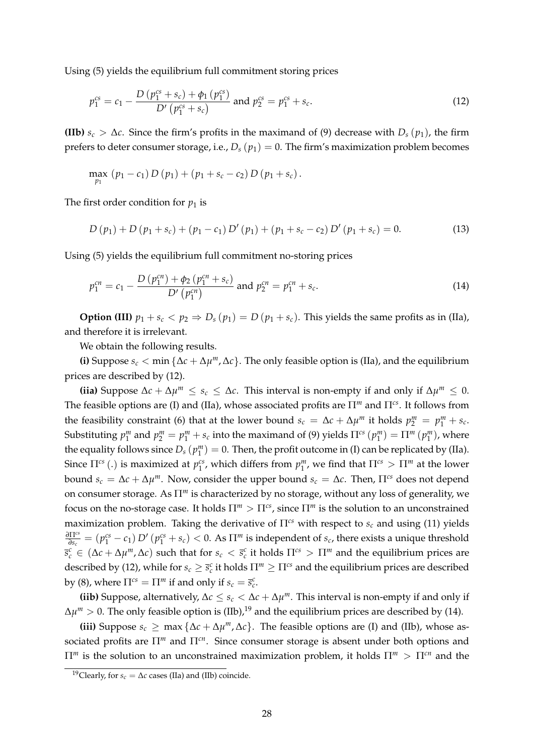Using (5) yields the equilibrium full commitment storing prices

$$
p_1^{cs} = c_1 - \frac{D (p_1^{cs} + s_c) + \phi_1 (p_1^{cs})}{D' (p_1^{cs} + s_c)} \text{ and } p_2^{cs} = p_1^{cs} + s_c. \tag{12}
$$

**(IIb)**  $s_c > \Delta c$ . Since the firm's profits in the maximand of (9) decrease with  $D_s(p_1)$ , the firm prefers to deter consumer storage, i.e.,  $D_s(p_1) = 0$ . The firm's maximization problem becomes

$$
\max_{p_1} (p_1 - c_1) D (p_1) + (p_1 + s_c - c_2) D (p_1 + s_c).
$$

The first order condition for  $p_1$  is

$$
D(p_1) + D(p_1 + s_c) + (p_1 - c_1) D'(p_1) + (p_1 + s_c - c_2) D'(p_1 + s_c) = 0.
$$
 (13)

Using (5) yields the equilibrium full commitment no-storing prices

$$
p_1^{cn} = c_1 - \frac{D\left(p_1^{cn}\right) + \phi_2\left(p_1^{cn} + s_c\right)}{D'\left(p_1^{cn}\right)} \text{ and } p_2^{cn} = p_1^{cn} + s_c. \tag{14}
$$

**Option (III)**  $p_1 + s_c < p_2 \Rightarrow D_s(p_1) = D(p_1 + s_c)$ . This yields the same profits as in (IIa), and therefore it is irrelevant.

We obtain the following results.

**(i)** Suppose  $s_c < \min{\{\Delta c + \Delta \mu^m, \Delta c\}}$ . The only feasible option is (IIa), and the equilibrium prices are described by (12).

(iia) Suppose  $\Delta c + \Delta \mu^m \leq s_c \leq \Delta c$ . This interval is non-empty if and only if  $\Delta \mu^m \leq 0$ . The feasible options are (I) and (IIa), whose associated profits are Π*<sup>m</sup>* and Π*cs*. It follows from the feasibility constraint (6) that at the lower bound  $s_c = \Delta c + \Delta \mu^m$  it holds  $p_2^m = p_1^m + s_c$ . Substituting  $p_1^m$  and  $p_2^m = p_1^m + s_c$  into the maximand of (9) yields  $\Pi^{cs}(p_1^m) = \Pi^m(p_1^m)$ , where the equality follows since  $D_s(p_1^m)=0$ . Then, the profit outcome in (I) can be replicated by (IIa). Since  $\Pi^{cs}$  (.) is maximized at  $p_1^{cs}$ , which differs from  $p_1^m$ , we find that  $\Pi^{cs} > \Pi^m$  at the lower bound  $s_c = \Delta c + \Delta \mu^m$ . Now, consider the upper bound  $s_c = \Delta c$ . Then,  $\Pi^{cs}$  does not depend on consumer storage. As Π*<sup>m</sup>* is characterized by no storage, without any loss of generality, we focus on the no-storage case. It holds  $\Pi^m > \Pi^{cs}$ , since  $\Pi^m$  is the solution to an unconstrained maximization problem. Taking the derivative of Π*cs* with respect to *s<sup>c</sup>* and using (11) yields *∂*Π*cs*  $\frac{\partial\Pi^{cs}}{\partial s_c}=(p_1^{cs}-c_1)\,D'\,(p_1^{cs}+s_c)<0.$  As  $\Pi^m$  is independent of  $s_c$ , there exists a unique threshold  $\overline{s}_c^c \in (\Delta c + \Delta \mu^m, \Delta c)$  such that for  $s_c < \overline{s}_c^c$  it holds  $\Pi^{cs} > \Pi^m$  and the equilibrium prices are described by (12), while for  $s_c \geq \bar{s}_c^c$  it holds  $\Pi^m \geq \Pi^{cs}$  and the equilibrium prices are described by (8), where  $\Pi^{cs} = \Pi^m$  if and only if  $s_c = \overline{s}_c^c$ .

(iib) Suppose, alternatively,  $\Delta c \leq s_c < \Delta c + \Delta \mu^m$ . This interval is non-empty if and only if  $\Delta \mu^{m} > 0.$  The only feasible option is (IIb), $^{19}$  and the equilibrium prices are described by (14).

(iii) Suppose  $s_c$  ≥ max { $\Delta c + \Delta \mu^m$ ,  $\Delta c$ }. The feasible options are (I) and (IIb), whose associated profits are Π*<sup>m</sup>* and Π*cn*. Since consumer storage is absent under both options and Π*<sup>m</sup>* is the solution to an unconstrained maximization problem, it holds Π*<sup>m</sup>* > Π*cn* and the

<sup>&</sup>lt;sup>19</sup>Clearly, for  $s_c = \Delta c$  cases (IIa) and (IIb) coincide.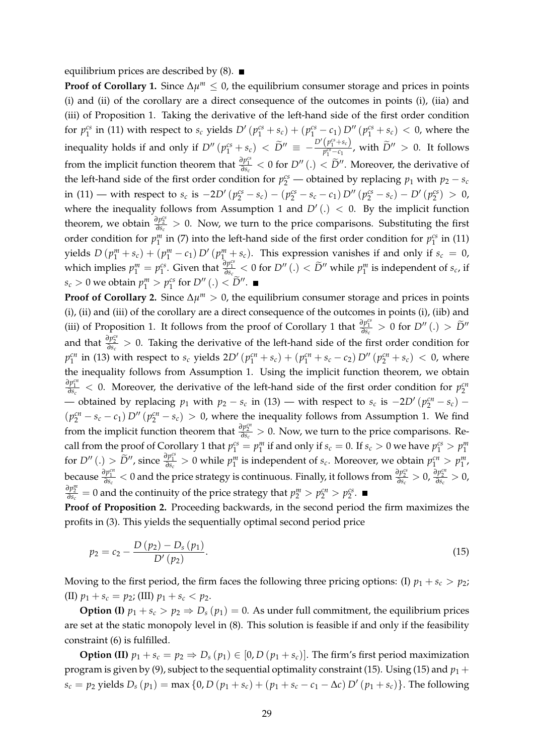equilibrium prices are described by  $(8)$ .

**Proof of Corollary 1.** Since  $\Delta \mu^m \leq 0$ , the equilibrium consumer storage and prices in points (i) and (ii) of the corollary are a direct consequence of the outcomes in points (i), (iia) and (iii) of Proposition 1. Taking the derivative of the left-hand side of the first order condition for  $p_1^{cs}$  in (11) with respect to  $s_c$  yields  $D'(p_1^{cs}+s_c)+(p_1^{cs}-c_1)D''(p_1^{cs}+s_c) < 0$ , where the inequality holds if and only if  $D'' (p_1^{cs} + s_c) < \tilde{D}'' \equiv -\frac{D'(p_1^{cs} + s_c)}{p_1^{cs} - c_1}$  $\frac{(p_1 + s_c)}{p_1^{cs} - c_1}$ , with  $\tilde{D}^{\prime\prime} > 0$ . It follows from the implicit function theorem that  $\frac{\partial p_1^{cs}}{\partial s_c} < 0$  for  $D''(.) < \widetilde{D}''$ . Moreover, the derivative of the left-hand side of the first order condition for  $p_2^{cs}$  — obtained by replacing  $p_1$  with  $p_2 - s_c$ in (11) — with respect to  $s_c$  is  $-2D' (p_2^{cs} - s_c) - (p_2^{cs} - s_c - c_1) D'' (p_2^{cs} - s_c) - D' (p_2^{cs}) > 0$ , where the inequality follows from Assumption 1 and  $D'(.) < 0$ . By the implicit function theorem, we obtain  $\frac{\partial p_2^{cs}}{\partial s_c} > 0$ . Now, we turn to the price comparisons. Substituting the first order condition for  $p_1^m$  in (7) into the left-hand side of the first order condition for  $p_1^{cs}$  in (11) yields  $D(p_1^m + s_c) + (p_1^m - c_1) D'(p_1^m + s_c)$ . This expression vanishes if and only if  $s_c = 0$ , which implies  $p_1^m = p_1^{cs}$ . Given that  $\frac{\partial p_1^{cs}}{\partial s_c} < 0$  for  $D''$  (.)  $< \widetilde{D}''$  while  $p_1^m$  is independent of  $s_c$ , if  $s_c > 0$  we obtain  $p_1^m > p_1^{cs}$  for  $D''(.) < \tilde{D}''$ .

**Proof of Corollary 2.** Since  $\Delta \mu^m > 0$ , the equilibrium consumer storage and prices in points (i), (ii) and (iii) of the corollary are a direct consequence of the outcomes in points (i), (iib) and (iii) of Proposition 1. It follows from the proof of Corollary 1 that  $\frac{\partial p_1^{c_s}}{\partial s_c} > 0$  for  $D''(.) > \tilde{D}''$ and that  $\frac{\partial p_2^{cs}}{\partial s_c} > 0$ . Taking the derivative of the left-hand side of the first order condition for  $p_1^{cn}$  in (13) with respect to  $s_c$  yields  $2D'\left(p_1^{cn}+s_c\right)+\left(p_1^{cn}+s_c-c_2\right)D''\left(p_2^{cn}+s_c\right) < 0$ , where the inequality follows from Assumption 1. Using the implicit function theorem, we obtain  $\frac{\partial p_1^{en}}{\partial s_c}$  < 0. Moreover, the derivative of the left-hand side of the first order condition for  $p_2^{cn}$ — obtained by replacing  $p_1$  with  $p_2 - s_c$  in (13) — with respect to  $s_c$  is  $-2D' (p_2^{cn} - s_c)$  –  $(p_2^{cn} - s_c - c_1) D'' (p_2^{cn} - s_c) > 0$ , where the inequality follows from Assumption 1. We find from the implicit function theorem that  $\frac{\partial p_2^{en}}{\partial s_c} > 0$ . Now, we turn to the price comparisons. Recall from the proof of Corollary 1 that  $p_1^{cs} = p_1^m$  if and only if  $s_c = 0$ . If  $s_c > 0$  we have  $p_1^{cs} > p_1^m$ for  $D''$  (.)  $> \widetilde{D}''$ , since  $\frac{\partial p_1^{cs}}{\partial s_c} > 0$  while  $p_1^m$  is independent of  $s_c$ . Moreover, we obtain  $p_1^{cn} > p_1^m$ , because  $\frac{\partial p_1^{c_1}}{\partial s_c}$  < 0 and the price strategy is continuous. Finally, it follows from  $\frac{\partial p_2^{c_2}}{\partial s_c} > 0$ ,  $\frac{\partial p_2^{c_1}}{\partial s_c} > 0$ ,  $\frac{\partial p^m_2}{\partial s_c} = 0$  and the continuity of the price strategy that  $p^m_2 > p^{cn}_2 > p^{cs}_2$ .

**Proof of Proposition 2.** Proceeding backwards, in the second period the firm maximizes the profits in (3). This yields the sequentially optimal second period price

$$
p_2 = c_2 - \frac{D(p_2) - D_s(p_1)}{D'(p_2)}.
$$
\n(15)

Moving to the first period, the firm faces the following three pricing options: (I)  $p_1 + s_c > p_2$ ; (II)  $p_1 + s_c = p_2$ ; (III)  $p_1 + s_c < p_2$ .

**Option (I)**  $p_1 + s_c > p_2 \Rightarrow D_s(p_1) = 0$ . As under full commitment, the equilibrium prices are set at the static monopoly level in (8). This solution is feasible if and only if the feasibility constraint (6) is fulfilled.

**Option (II)**  $p_1 + s_c = p_2 \Rightarrow D_s(p_1) \in [0, D(p_1 + s_c)]$ . The firm's first period maximization program is given by (9), subject to the sequential optimality constraint (15). Using (15) and  $p_1$  +  $s_c = p_2$  yields  $D_s(p_1) = \max\{0, D(p_1 + s_c) + (p_1 + s_c - c_1 - \Delta c) D'(p_1 + s_c)\}\.$  The following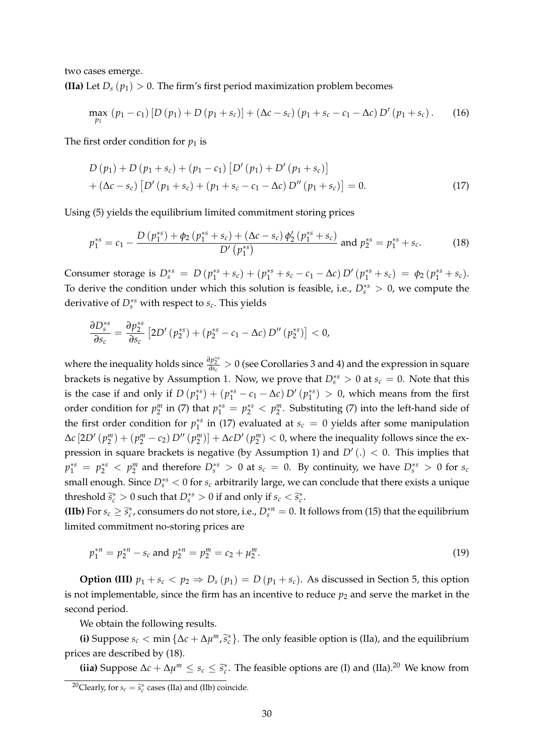two cases emerge. **(IIa)** Let  $D_s(p_1) > 0$ . The firm's first period maximization problem becomes

$$
\max_{p_1} (p_1 - c_1) [D (p_1) + D (p_1 + s_c)] + (\Delta c - s_c) (p_1 + s_c - c_1 - \Delta c) D' (p_1 + s_c).
$$
 (16)

The first order condition for  $p_1$  is

$$
D (p_1) + D (p_1 + s_c) + (p_1 - c_1) [D' (p_1) + D' (p_1 + s_c)]
$$
  
+  $(\Delta c - s_c) [D' (p_1 + s_c) + (p_1 + s_c - c_1 - \Delta c) D'' (p_1 + s_c)] = 0.$  (17)

Using (5) yields the equilibrium limited commitment storing prices

$$
p_1^{*s} = c_1 - \frac{D(p_1^{*s}) + \phi_2(p_1^{*s} + s_c) + (\Delta c - s_c) \phi_2'(p_1^{*s} + s_c)}{D'(p_1^{*s})} \text{ and } p_2^{*s} = p_1^{*s} + s_c.
$$
 (18)

Consumer storage is  $D_s^{*s} = D(p_1^{*s} + s_c) + (p_1^{*s} + s_c - c_1 - \Delta c) D'(p_1^{*s} + s_c) = \phi_2(p_1^{*s} + s_c)$ . To derive the condition under which this solution is feasible, i.e.,  $D_s^{*s} > 0$ , we compute the derivative of  $D_s^{*s}$  with respect to  $s_c$ . This yields

$$
\frac{\partial D_s^{*s}}{\partial s_c} = \frac{\partial p_2^{*s}}{\partial s_c} \left[ 2D'\left(p_2^{*s}\right) + \left(p_2^{*s} - c_1 - \Delta c\right)D''\left(p_2^{*s}\right) \right] < 0,
$$

*where the inequality holds since*  $\frac{\partial p_2^{*s}}{\partial s_c} > 0$  *(see Corollaries 3 and 4) and the expression in square* brackets is negative by Assumption 1. Now, we prove that  $D_s^{*s} > 0$  at  $s_c = 0$ . Note that this is the case if and only if  $D(p_1^{*s}) + (p_1^{*s} - c_1 - \Delta c) D'(p_1^{*s}) > 0$ , which means from the first order condition for  $p_2^m$  in (7) that  $p_1^{*s} = p_2^{*s} < p_2^m$ . Substituting (7) into the left-hand side of the first order condition for  $p_1^{*s}$  in (17) evaluated at  $s_c = 0$  yields after some manipulation  $\Delta c$   $[2D'(p_2^m) + (p_2^m - c_2) D''(p_2^m)] + \Delta c D'(p_2^m) < 0$ , where the inequality follows since the expression in square brackets is negative (by Assumption 1) and  $D'(.) < 0$ . This implies that  $p_1^{*s} = p_2^{*s} < p_2^m$  and therefore  $D_s^{*s} > 0$  at  $s_c = 0$ . By continuity, we have  $D_s^{*s} > 0$  for  $s_c$ small enough. Since *D*∗*<sup>s</sup> <sup>s</sup>* < 0 for *s<sup>c</sup>* arbitrarily large, we can conclude that there exists a unique threshold  $\tilde{s}_c^* > 0$  such that  $D_s^{*s} > 0$  if and only if  $s_c < \tilde{s}_c^*$ .

**(IIb)** For  $s_c \geq \tilde{s}_c^*$ , consumers do not store, i.e.,  $D_s^{*n} = 0$ . It follows from (15) that the equilibrium limited commitment no-storing prices are

$$
p_1^{*n} = p_2^{*n} - s_c \text{ and } p_2^{*n} = p_2^m = c_2 + \mu_2^m. \tag{19}
$$

**Option (III)**  $p_1 + s_c < p_2 \Rightarrow D_s(p_1) = D(p_1 + s_c)$ . As discussed in Section 5, this option is not implementable, since the firm has an incentive to reduce  $p_2$  and serve the market in the second period.

We obtain the following results.

(i) Suppose  $s_c < \min{\{\Delta c + \Delta \mu^m, \tilde{s}_c^*\}}$ . The only feasible option is (IIa), and the equilibrium prices are described by (18).

**(iia)** Suppose  $\Delta c + \Delta \mu^m \le s_c \le \tilde{s}_c^*$ . The feasible options are (I) and (IIa).<sup>20</sup> We know from

<sup>&</sup>lt;sup>20</sup>Clearly, for  $s_c = \tilde{s}_c^*$  cases (IIa) and (IIb) coincide.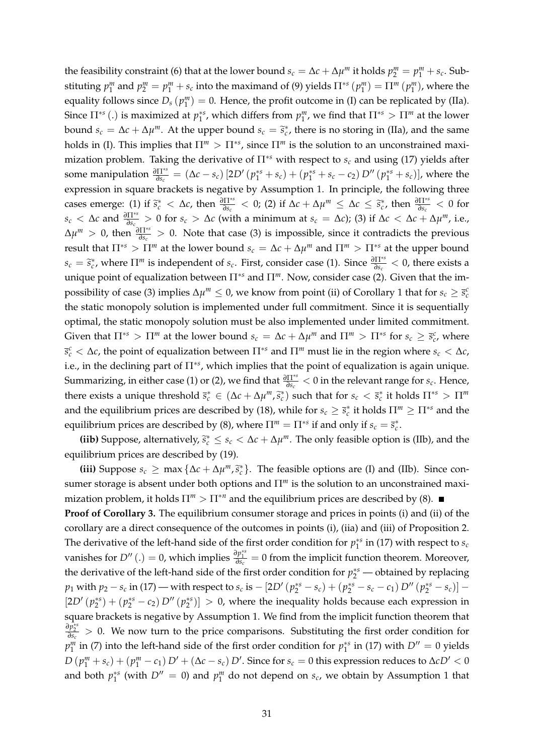the feasibility constraint (6) that at the lower bound  $s_c = \Delta c + \Delta \mu^m$  it holds  $p_2^m = p_1^m + s_c$ . Substituting  $p_1^m$  and  $p_2^m = p_1^m + s_c$  into the maximand of (9) yields  $\Pi^{*s}(p_1^m) = \Pi^m(p_1^m)$ , where the equality follows since  $D_s(p_1^m) = 0$ . Hence, the profit outcome in (I) can be replicated by (IIa). Since  $\Pi^{*s}$  (.) is maximized at  $p_1^{*s}$ , which differs from  $p_1^m$ , we find that  $\Pi^{*s} > \Pi^m$  at the lower bound  $s_c = \Delta c + \Delta \mu^m$ . At the upper bound  $s_c = \tilde{s}_c^*$ , there is no storing in (IIa), and the same holds in (I). This implies that  $\Pi^m > \Pi^{*s}$ , since  $\Pi^m$  is the solution to an unconstrained maximization problem. Taking the derivative of Π∗*<sup>s</sup>* with respect to *s<sup>c</sup>* and using (17) yields after some manipulation  $\frac{\partial \Pi^{*s}}{\partial s_c} = (\Delta c - s_c) [2D' (p_1^{*s} + s_c) + (p_1^{*s} + s_c - c_2) D'' (p_1^{*s} + s_c)],$  where the expression in square brackets is negative by Assumption 1. In principle, the following three cases emerge: (1) if  $\tilde{s}_c^* < \Delta c$ , then  $\frac{\partial \Pi^{*s}}{\partial s_c} < 0$ ; (2) if  $\Delta c + \Delta \mu^m \leq \Delta c \leq \tilde{s}_c^*$ , then  $\frac{\partial \Pi^{*s}}{\partial s_c} < 0$  for *s*<sub>*c*</sub> < ∆*c* and  $\frac{\partial \Pi^{*s}}{\partial s_c}$  > 0 for *s<sub>c</sub>* > ∆*c* (with a minimum at *s<sub>c</sub>* = ∆*c*); (3) if ∆*c* < ∆*c* + ∆*µ*<sup>*m*</sup>, i.e.,  $\Delta \mu^m > 0$ , then  $\frac{\partial \Pi^{*s}}{\partial s_c} > 0$ . Note that case (3) is impossible, since it contradicts the previous result that  $\Pi^{*s} > \Pi^m$  at the lower bound  $s_c = \Delta c + \Delta \mu^m$  and  $\Pi^m > \Pi^{*s}$  at the upper bound  $s_c = \tilde{s}_c^*$ , where  $\Pi^m$  is independent of  $s_c$ . First, consider case (1). Since  $\frac{\partial \Pi^{*s}}{\partial s_c} < 0$ , there exists a unique point of equalization between Π∗*<sup>s</sup>* and Π*m*. Now, consider case (2). Given that the impossibility of case (3) implies  $\Delta \mu^m \leq 0$ , we know from point (ii) of Corollary 1 that for  $s_c \geq \bar{s}_c^c$ the static monopoly solution is implemented under full commitment. Since it is sequentially optimal, the static monopoly solution must be also implemented under limited commitment. Given that  $\Pi^{*s} > \Pi^m$  at the lower bound  $s_c = \Delta c + \Delta \mu^m$  and  $\Pi^m > \Pi^{*s}$  for  $s_c \ge \bar{s}_c^c$ , where *s c <sup>c</sup>* < ∆*c*, the point of equalization between Π∗*<sup>s</sup>* and Π*<sup>m</sup>* must lie in the region where *s<sup>c</sup>* < ∆*c*, i.e., in the declining part of Π<sup>\**s*</sup>, which implies that the point of equalization is again unique. Summarizing, in either case (1) or (2), we find that  $\frac{\partial \Pi^{*s}}{\partial s_c} < 0$  in the relevant range for  $s_c$ . Hence, there exists a unique threshold  $\bar{s}_c^* \in (\Delta c + \Delta \mu^m, \tilde{s}_c^*)$  such that for  $s_c < \bar{s}_c^*$  it holds  $\Pi^{*s} > \Pi^m$ and the equilibrium prices are described by (18), while for  $s_c \geq \bar{s}_c^*$  it holds  $\Pi^m \geq \Pi^{*s}$  and the equilibrium prices are described by (8), where  $\Pi^m = \Pi^{*s}$  if and only if  $s_c = \overline{s}_c^*$ .

**(iib)** Suppose, alternatively,  $\tilde{s}_c^* \le s_c < \Delta c + \Delta \mu^m$ . The only feasible option is (IIb), and the equilibrium prices are described by (19).

**(iii)** Suppose  $s_c \ge \max{\{\Delta c + \Delta \mu^m, \tilde{s}_c^*\}}$ . The feasible options are (I) and (IIb). Since consumer storage is absent under both options and Π*<sup>m</sup>* is the solution to an unconstrained maximization problem, it holds  $\Pi^m > \Pi^{*n}$  and the equilibrium prices are described by (8).

**Proof of Corollary 3.** The equilibrium consumer storage and prices in points (i) and (ii) of the corollary are a direct consequence of the outcomes in points (i), (iia) and (iii) of Proposition 2. The derivative of the left-hand side of the first order condition for  $p_1^{*s}$  in (17) with respect to  $s_c$ vanishes for  $D''$  (.) = 0, which implies  $\frac{\partial p_1^{**}}{\partial s_c} = 0$  from the implicit function theorem. Moreover, the derivative of the left-hand side of the first order condition for  $p_2^{*s}$  — obtained by replacing  $p_1$  with  $p_2 - s_c$  in (17) — with respect to  $s_c$  is  $- [2D' (p_2^{*s} - s_c) + (p_2^{*s} - s_c - c_1) D'' (p_2^{*s} - s_c)]$  —  $[2D'(p_2^{**}) + (p_2^{**} - c_2) D''(p_2^{**})] > 0$ , where the inequality holds because each expression in square brackets is negative by Assumption 1. We find from the implicit function theorem that *∂p*<sup> $\frac{2}{\theta s_c}$  > 0. We now turn to the price comparisons. Substituting the first order condition for</sup>  $p_1^m$  in (7) into the left-hand side of the first order condition for  $p_1^{*s}$  in (17) with  $D'' = 0$  yields  $D(p_1^m + s_c) + (p_1^m - c_1) D' + (\Delta c - s_c) D'$ . Since for  $s_c = 0$  this expression reduces to  $\Delta c D' < 0$ and both  $p_1^{*s}$  (with  $D'' = 0$ ) and  $p_1^m$  do not depend on  $s_c$ , we obtain by Assumption 1 that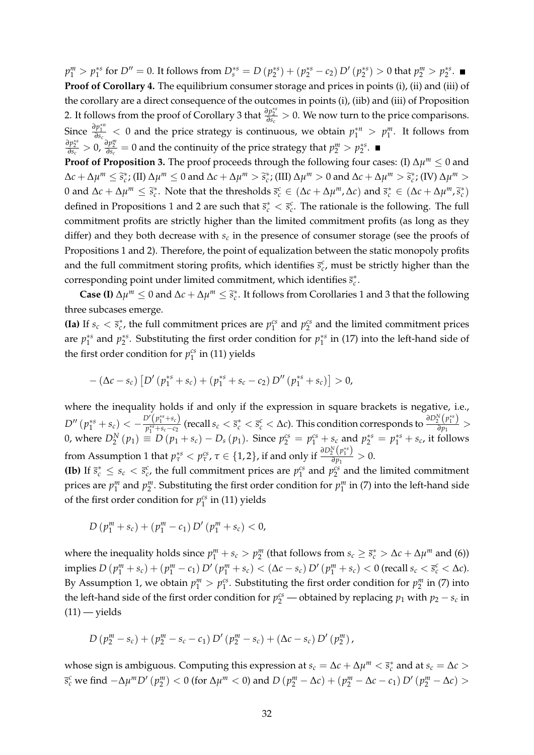$p_1^m > p_1^{**}$  for  $D'' = 0$ . It follows from  $D_s^{*s} = D(p_2^{**}) + (p_2^{**} - c_2) D'(p_2^{**}) > 0$  that  $p_2^m > p_2^{**}$ . **Proof of Corollary 4.** The equilibrium consumer storage and prices in points (i), (ii) and (iii) of the corollary are a direct consequence of the outcomes in points (i), (iib) and (iii) of Proposition 2. It follows from the proof of Corollary 3 that  $\frac{\partial p_2^{*s}}{\partial s_c} > 0$ . We now turn to the price comparisons. Since  $\frac{\partial p_1^{*n}}{\partial s_c}$  < 0 and the price strategy is continuous, we obtain  $p_1^{*n} > p_1^m$ . It follows from  $\frac{\partial p_2^{**}}{\partial s_c} > 0$ ,  $\frac{\partial p_2^m}{\partial s_c} = 0$  and the continuity of the price strategy that  $p_2^m > p_2^{**}$ .

**Proof of Proposition 3.** The proof proceeds through the following four cases: (I)  $\Delta \mu^m \leq 0$  and  $\Delta c + \Delta \mu^m \leq \tilde{s}_c^*$ ; (II)  $\Delta \mu^m \leq 0$  and  $\Delta c + \Delta \mu^m > \tilde{s}_c^*$ ; (III)  $\Delta \mu^m > 0$  and  $\Delta c + \Delta \mu^m > \tilde{s}_c^*$ ; (IV)  $\Delta \mu^m >$ 0 and  $\Delta c + \Delta \mu^m \leq \tilde{s}_c^*$ . Note that the thresholds  $\bar{s}_c^c \in (\Delta c + \Delta \mu^m, \Delta c)$  and  $\bar{s}_c^* \in (\Delta c + \Delta \mu^m, \tilde{s}_c^*)$ defined in Propositions 1 and 2 are such that  $\bar{s}_c^* < \bar{s}_c^c$ . The rationale is the following. The full commitment profits are strictly higher than the limited commitment profits (as long as they differ) and they both decrease with  $s_c$  in the presence of consumer storage (see the proofs of Propositions 1 and 2). Therefore, the point of equalization between the static monopoly profits and the full commitment storing profits, which identifies  $\bar{s}^c_c$ , must be strictly higher than the corresponding point under limited commitment, which identifies  $\bar{s}_c^*$ .

**Case (I)**  $\Delta \mu^m \leq 0$  and  $\Delta c + \Delta \mu^m \leq \tilde{s}_c^*$ . It follows from Corollaries 1 and 3 that the following three subcases emerge.

**(Ia)** If  $s_c < \bar{s}_c^*$ , the full commitment prices are  $p_1^{cs}$  and  $p_2^{cs}$  and the limited commitment prices are  $p_1^{*s}$  and  $p_2^{*s}$ . Substituting the first order condition for  $p_1^{*s}$  in (17) into the left-hand side of the first order condition for  $p_1^{cs}$  in (11) yields

$$
-(\Delta c-s_c)\left[D'\left(p_1^{*s}+s_c\right)+\left(p_1^{*s}+s_c-c_2\right)D''\left(p_1^{*s}+s_c\right)\right]>0,
$$

where the inequality holds if and only if the expression in square brackets is negative, i.e.,  $D''\left(p_1^{*s}+s_c\right)<-\frac{D'\left(p_1^{*s}+s_c\right)}{p_1^{*s}+s_c-c_2}$  $\frac{D'(p_1^{**}+s_c)}{p_1^{**}+s_c-c_2}$  (recall  $s_c<\overline{s}_c^c<\Delta c$ ). This condition corresponds to  $\frac{\partial D_2^N(p_1^{**})}{\partial p_1}$  $\frac{2(P_1)}{\partial p_1}$  > 0, where  $D_2^N(p_1) \equiv D(p_1 + s_c) - D_s(p_1)$ . Since  $p_2^{cs} = p_1^{cs} + s_c$  and  $p_2^{ss} = p_1^{ss} + s_c$ , it follows from Assumption 1 that  $p_{\tau}^{*s} < p_{\tau}^{cs}$ ,  $\tau \in \{1,2\}$ , if and only if  $\frac{\partial D_2^N(p_1^{**})}{\partial p_1}$  $\frac{2}{\partial p_1}$  > 0.

**(Ib)** If  $\bar{s}_c^* \leq s_c < \bar{s}_c^c$ , the full commitment prices are  $p_1^{cs}$  and  $p_2^{cs}$  and the limited commitment prices are  $p_1^m$  and  $p_2^m$ . Substituting the first order condition for  $p_1^m$  in (7) into the left-hand side of the first order condition for  $p_1^{cs}$  in (11) yields

$$
D(p_1^m + s_c) + (p_1^m - c_1) D'(p_1^m + s_c) < 0,
$$

where the inequality holds since  $p_1^m + s_c > p_2^m$  (that follows from  $s_c \geq \bar{s}_c^* > \Delta c + \Delta \mu^m$  and (6)) implies  $D(p_1^m + s_c) + (p_1^m - c_1) D'(p_1^m + s_c) < (\Delta c - s_c) D'(p_1^m + s_c) < 0$  (recall  $s_c < \bar{s}_c^c < \Delta c$ ). By Assumption 1, we obtain  $p_1^m > p_1^{cs}$ . Substituting the first order condition for  $p_2^m$  in (7) into the left-hand side of the first order condition for  $p_2^{cs}$  — obtained by replacing  $p_1$  with  $p_2 - s_c$  in  $(11)$  — yields

$$
D (p_2^m - s_c) + (p_2^m - s_c - c_1) D' (p_2^m - s_c) + (\Delta c - s_c) D' (p_2^m),
$$

whose sign is ambiguous. Computing this expression at  $s_c = \Delta c + \Delta \mu^m < \bar{s}_c^*$  and at  $s_c = \Delta c >$  $\overline{s}_{c}^{c}$  we find  $-\Delta\mu^{m}D'\left(p_{2}^{m}\right) < 0$  (for  $\Delta\mu^{m} < 0$ ) and  $D\left(p_{2}^{m} - \Delta c\right) + \left(p_{2}^{m} - \Delta c - c_{1}\right)D'\left(p_{2}^{m} - \Delta c\right) > 0$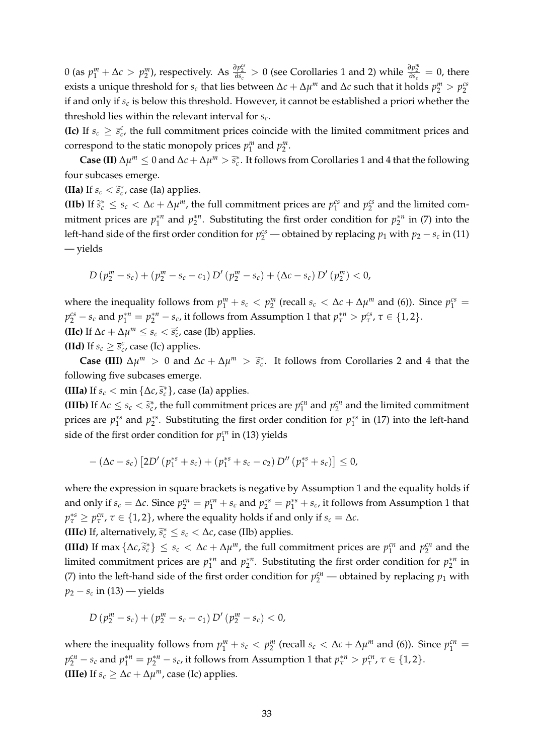0 (as  $p_1^m + \Delta c > p_2^m$ ), respectively. As  $\frac{\partial p_2^{cs}}{\partial s_c} > 0$  (see Corollaries 1 and 2) while  $\frac{\partial p_2^m}{\partial s_c} = 0$ , there exists a unique threshold for  $s_c$  that lies between  $\Delta c + \Delta \mu^m$  and  $\Delta c$  such that it holds  $p_2^m > p_2^{cs}$ if and only if *s<sup>c</sup>* is below this threshold. However, it cannot be established a priori whether the threshold lies within the relevant interval for *s<sup>c</sup>* .

**(Ic)** If  $s_c \geq \bar{s}_c^c$ , the full commitment prices coincide with the limited commitment prices and correspond to the static monopoly prices  $p_1^m$  and  $p_2^m$ .

**Case (II)**  $\Delta \mu^m \leq 0$  and  $\Delta c + \Delta \mu^m > \tilde{s}_c^*$ . It follows from Corollaries 1 and 4 that the following four subcases emerge.

**(IIa)** If  $s_c < \tilde{s}_c^*$ , case (Ia) applies.

**(IIb)** If  $\tilde{s}_c^* \leq s_c < \Delta c + \Delta \mu^m$ , the full commitment prices are  $p_1^{cs}$  and  $p_2^{cs}$  and the limited commitment prices are  $p_1^{*n}$  and  $p_2^{*n}$ . Substituting the first order condition for  $p_2^{*n}$  in (7) into the left-hand side of the first order condition for  $p_2^{cs}$  — obtained by replacing  $p_1$  with  $p_2 - s_c$  in (11) — yields

$$
D (p_2^m - s_c) + (p_2^m - s_c - c_1) D' (p_2^m - s_c) + (\Delta c - s_c) D' (p_2^m) < 0,
$$

where the inequality follows from  $p_1^m + s_c < p_2^m$  (recall  $s_c < \Delta c + \Delta \mu^m$  and (6)). Since  $p_1^{cs} =$  $p_2^{cs} - s_c$  and  $p_1^{*n} = p_2^{*n} - s_c$ , it follows from Assumption 1 that  $p_\tau^{*n} > p_\tau^{cs}$ ,  $\tau \in \{1, 2\}$ . **(IIc)** If  $\Delta c + \Delta \mu^m \le s_c < \bar{s}_c^c$ , case (Ib) applies.

**(IId)** If  $s_c \geq \bar{s}_c^c$ , case (Ic) applies.

**Case (III)**  $\Delta \mu^m > 0$  and  $\Delta c + \Delta \mu^m > \tilde{s}_c^*$ . It follows from Corollaries 2 and 4 that the following five subcases emerge.

**(IIIa)** If  $s_c < \min{\{\Delta c, \tilde{s}_c^*\}}$ , case (Ia) applies.

**(IIIb)** If  $\Delta c \le s_c < \tilde{s}_c^*$ , the full commitment prices are  $p_1^{cn}$  and  $p_2^{cn}$  and the limited commitment prices are  $p_1^{*s}$  and  $p_2^{*s}$ . Substituting the first order condition for  $p_1^{*s}$  in (17) into the left-hand side of the first order condition for  $p_1^{cn}$  in (13) yields

$$
-(\Delta c-s_c)\left[2D'\left(p_1^{*s}+s_c\right)+\left(p_1^{*s}+s_c-c_2\right)D''\left(p_1^{*s}+s_c\right)\right]\leq 0,
$$

where the expression in square brackets is negative by Assumption 1 and the equality holds if and only if  $s_c = \Delta c$ . Since  $p_2^{cn} = p_1^{cn} + s_c$  and  $p_2^{*s} = p_1^{*s} + s_c$ , it follows from Assumption 1 that  $p_{\tau}^{*s} \ge p_{\tau}^{cn}$ ,  $\tau \in \{1,2\}$ , where the equality holds if and only if  $s_c = \Delta c$ . **(IIIc)** If, alternatively,  $\tilde{s}_c^* \leq s_c < \Delta c$ , case (IIb) applies.

**(IIId)** If max  $\{\Delta c, \tilde{s}_c^*\}\leq s_c < \Delta c + \Delta \mu^m$ , the full commitment prices are  $p_1^{cn}$  and  $p_2^{cn}$  and the limited commitment prices are  $p_1^{*n}$  and  $p_2^{*n}$ . Substituting the first order condition for  $p_2^{*n}$  in (7) into the left-hand side of the first order condition for  $p_2^{cn}$  — obtained by replacing  $p_1$  with *p*<sup>2</sup> − *s<sup>c</sup>* in (13) — yields

$$
D(p_2^m - s_c) + (p_2^m - s_c - c_1) D'(p_2^m - s_c) < 0,
$$

where the inequality follows from  $p_1^m + s_c < p_2^m$  (recall  $s_c < \Delta c + \Delta \mu^m$  and (6)). Since  $p_1^{cn} =$  $p_2^{cn} - s_c$  and  $p_1^{*n} = p_2^{*n} - s_c$ , it follows from Assumption 1 that  $p_\tau^{*n} > p_\tau^{cn}$ ,  $\tau \in \{1, 2\}$ . **(IIIe)** If  $s_c \geq \Delta c + \Delta \mu^m$ , case (Ic) applies.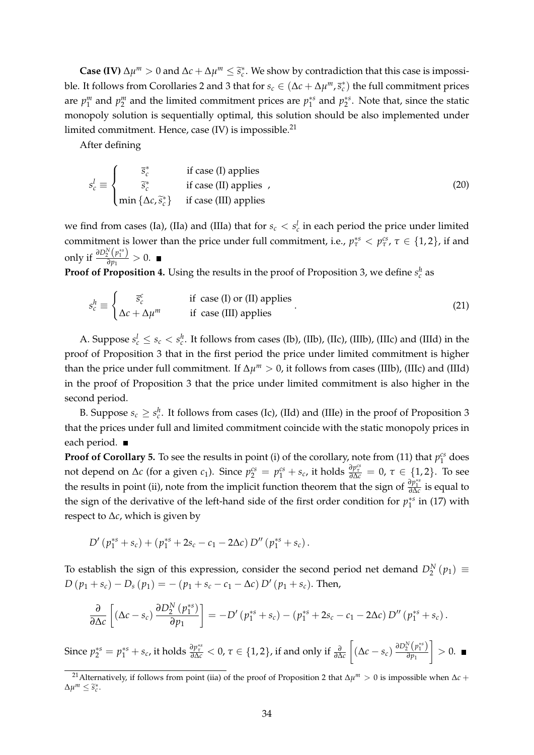**Case (IV)**  $\Delta \mu^m > 0$  and  $\Delta c + \Delta \mu^m \leq \tilde{s}_c^*$ . We show by contradiction that this case is impossible. It follows from Corollaries 2 and 3 that for  $s_c \in (\Delta c + \Delta \mu^m, \bar{s}_c^*)$  the full commitment prices are  $p_1^m$  and  $p_2^m$  and the limited commitment prices are  $p_1^{*s}$  and  $p_2^{*s}$ . Note that, since the static monopoly solution is sequentially optimal, this solution should be also implemented under limited commitment. Hence, case  $(IV)$  is impossible.<sup>21</sup>

After defining

$$
s_c^l \equiv \begin{cases} \overline{s}_c^* & \text{if case (I) applies} \\ \overline{\tilde{s}}_c^* & \text{if case (II) applies} \\ \min \{ \Delta c, \tilde{s}_c^* \} & \text{if case (III) applies} \end{cases}
$$
 (20)

we find from cases (Ia), (IIa) and (IIIa) that for  $s_c < s_c^l$  in each period the price under limited commitment is lower than the price under full commitment, i.e.,  $p^{*s}_{\tau} < p^{cs}_{\tau}$ ,  $\tau \in \{1,2\}$ , if and only if  $\frac{\partial D_2^N(p_1^{*s})}{\partial p_1}$  $\frac{2}{\partial p_1}$  > 0.

**Proof of Proposition 4.** Using the results in the proof of Proposition 3, we define  $s_c^h$  as

$$
s_c^h \equiv \begin{cases} \bar{s}_c^c & \text{if case (I) or (II) applies} \\ \Delta c + \Delta \mu^m & \text{if case (III) applies} \end{cases}
$$
 (21)

A. Suppose  $s_c^l \leq s_c < s_c^h$ . It follows from cases (Ib), (IIb), (IIc), (IIIb), (IIIc) and (IIId) in the proof of Proposition 3 that in the first period the price under limited commitment is higher than the price under full commitment. If  $\Delta \mu^m > 0$ , it follows from cases (IIIb), (IIIc) and (IIId) in the proof of Proposition 3 that the price under limited commitment is also higher in the second period.

B. Suppose  $s_c \geq s_c^h$ . It follows from cases (Ic), (IId) and (IIIe) in the proof of Proposition 3 that the prices under full and limited commitment coincide with the static monopoly prices in each period. ■

**Proof of Corollary 5.** To see the results in point (i) of the corollary, note from (11) that  $p_1^{cs}$  does not depend on  $\Delta c$  (for a given  $c_1$ ). Since  $p_2^{cs} = p_1^{cs} + s_c$ , it holds  $\frac{\partial p_2^{cs}}{\partial \Delta c} = 0$ ,  $\tau \in \{1, 2\}$ . To see the results in point (ii), note from the implicit function theorem that the sign of  $\frac{\partial p_1^{*s}}{\partial \Delta c}$  is equal to the sign of the derivative of the left-hand side of the first order condition for  $p_1^{*s}$  in (17) with respect to ∆*c*, which is given by

$$
D'\left(p_1^{*s}+s_c\right)+\left(p_1^{*s}+2s_c-c_1-2\Delta c\right)D''\left(p_1^{*s}+s_c\right).
$$

To establish the sign of this expression, consider the second period net demand  $D_2^N(p_1) \equiv$  $D(p_1 + s_c) - D_s(p_1) = -(p_1 + s_c - c_1 - \Delta c) D'(p_1 + s_c)$ . Then,

$$
\frac{\partial}{\partial \Delta c}\left[\left(\Delta c - s_c\right) \frac{\partial D_2^N\left(p_1^{*s}\right)}{\partial p_1}\right] = -D'\left(p_1^{*s} + s_c\right) - \left(p_1^{*s} + 2s_c - c_1 - 2\Delta c\right)D''\left(p_1^{*s} + s_c\right).
$$

Since  $p_2^{*s} = p_1^{*s} + s_c$ , it holds  $\frac{\partial p_2^{*s}}{\partial \Delta c} < 0$ ,  $\tau \in \{1,2\}$ , if and only if  $\frac{\partial}{\partial \Delta c}$  $\left[\left(\Delta c - s_c\right) \frac{\partial D_2^N (p_1^{*s})}{\partial p_1}\right]$ *∂p*<sup>1</sup>  $\Big] > 0.$ 

<sup>21</sup>Alternatively, if follows from point (iia) of the proof of Proposition 2 that ∆*µ <sup>m</sup>* > 0 is impossible when ∆*c* +  $\Delta \mu^m \leq \widetilde{s}_c^*.$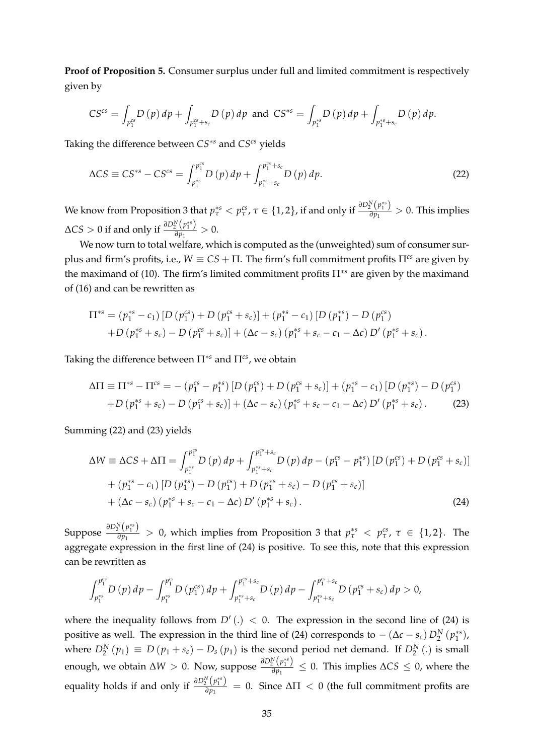**Proof of Proposition 5.** Consumer surplus under full and limited commitment is respectively given by

$$
CS^{cs} = \int_{p_1^{cs}} D(p) \, dp + \int_{p_1^{cs} + s_c} D(p) \, dp
$$
 and 
$$
CS^{ss} = \int_{p_1^{ss}} D(p) \, dp + \int_{p_1^{ss} + s_c} D(p) \, dp.
$$

Taking the difference between *CS*∗*<sup>s</sup>* and *CScs* yields

$$
\Delta CS \equiv CS^{*s} - CS^{cs} = \int_{p_1^{*s}}^{p_1^{cs}} D(p) \, dp + \int_{p_1^{*s} + s_c}^{p_1^{cs} + s_c} D(p) \, dp. \tag{22}
$$

We know from Proposition 3 that  $p_\tau^{*s} < p_\tau^{cs}$ ,  $\tau \in \{1,2\}$ , if and only if  $\frac{\partial D_2^N(p_1^{**})}{\partial p_1}$  $\frac{\partial^2 P}{\partial p_1}$  > 0. This implies  $\Delta CS > 0$  if and only if  $\frac{\partial D_2^N(p_1^{*s})}{\partial p_1}$  $\frac{2}{\partial p_1}$  > 0.

We now turn to total welfare, which is computed as the (unweighted) sum of consumer surplus and firm's profits, i.e.,  $W \equiv CS + \Pi$ . The firm's full commitment profits  $\Pi^{cs}$  are given by the maximand of (10). The firm's limited commitment profits Π∗*<sup>s</sup>* are given by the maximand of (16) and can be rewritten as

$$
\Pi^{*s} = (p_1^{*s} - c_1) [D (p_1^{cs}) + D (p_1^{cs} + s_c)] + (p_1^{*s} - c_1) [D (p_1^{*s}) - D (p_1^{cs}) + D (p_1^{*s} + s_c) - D (p_1^{cs} + s_c)] + (\Delta c - s_c) (p_1^{*s} + s_c - c_1 - \Delta c) D' (p_1^{*s} + s_c).
$$

Taking the difference between Π∗*<sup>s</sup>* and Π*cs*, we obtain

$$
\Delta \Pi \equiv \Pi^{*s} - \Pi^{cs} = -(p_1^{cs} - p_1^{*s}) \left[ D (p_1^{cs}) + D (p_1^{cs} + s_c) \right] + (p_1^{*s} - c_1) \left[ D (p_1^{*s}) - D (p_1^{cs}) \right] + D (p_1^{*s} + s_c) - D (p_1^{cs} + s_c) \left[ + (\Delta c - s_c) (p_1^{*s} + s_c - c_1 - \Delta c) D' (p_1^{*s} + s_c) \right].
$$
 (23)

Summing (22) and (23) yields

$$
\Delta W \equiv \Delta CS + \Delta \Pi = \int_{p_1^{ss}}^{p_1^{cs}} D(p) dp + \int_{p_1^{ss} + s_c}^{p_1^{cs} + s_c} D(p) dp - (p_1^{cs} - p_1^{ss}) [D(p_1^{cs}) + D(p_1^{cs} + s_c)] + (p_1^{ss} - c_1) [D(p_1^{ss}) - D(p_1^{cs}) + D(p_1^{ss} + s_c) - D(p_1^{cs} + s_c)] + (\Delta c - s_c) (p_1^{ss} + s_c - c_1 - \Delta c) D'(p_1^{ss} + s_c).
$$
\n(24)

Suppose  $\frac{\partial D_2^N(p_1^{*s})}{\partial p_1}$  $\frac{\partial^2 (P_1^{\circ})}{\partial p_1} > 0$ , which implies from Proposition 3 that  $p_{\tau}^{*s} < p_{\tau}^{cs}$ ,  $\tau \in \{1,2\}$ . The aggregate expression in the first line of (24) is positive. To see this, note that this expression can be rewritten as

$$
\int_{p_1^{*s}}^{p_1^{cs}} D(p) dp - \int_{p_1^{*s}}^{p_1^{cs}} D(p_1^{cs}) dp + \int_{p_1^{*s}+s_c}^{p_1^{cs}+s_c} D(p) dp - \int_{p_1^{*s}+s_c}^{p_1^{cs}+s_c} D(p_1^{cs}+s_c) dp > 0,
$$

where the inequality follows from  $D'(.) < 0$ . The expression in the second line of (24) is positive as well. The expression in the third line of (24) corresponds to  $-(\Delta c - s_c) D_2^N (p_1^{*s})$ , where  $D_2^N(p_1) \equiv D(p_1 + s_c) - D_s(p_1)$  is the second period net demand. If  $D_2^N(.)$  is small enough, we obtain  $\Delta W > 0$ . Now, suppose  $\frac{\partial D_2^N (p^{**})}{\partial n_1}$  $\frac{P_2(P_1)}{\partial p_1}$  ≤ 0. This implies  $\Delta CS \leq 0$ , where the equality holds if and only if  $\frac{\partial D_2^N (p_1^{**})}{\partial p_1}$  $\frac{2}{\partial p_1}$  = 0. Since  $\Delta \Pi$  < 0 (the full commitment profits are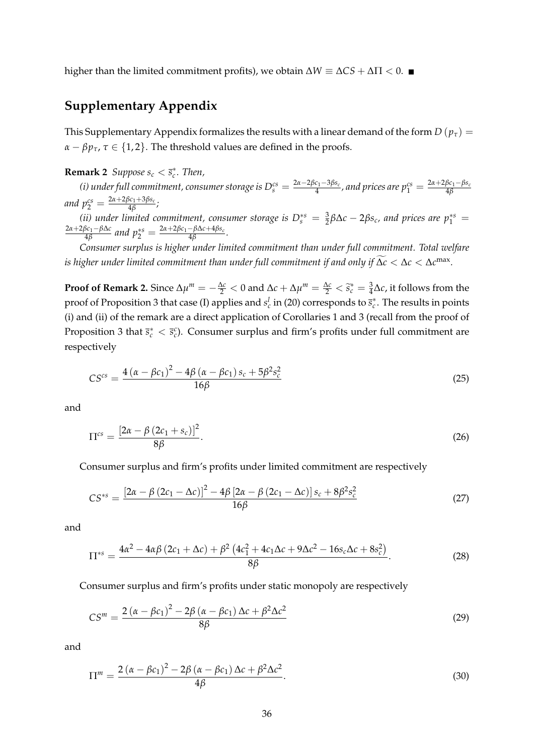higher than the limited commitment profits), we obtain  $\Delta W \equiv \Delta CS + \Delta \Pi < 0$ . ■

## **Supplementary Appendix**

This Supplementary Appendix formalizes the results with a linear demand of the form  $D(p_\tau)$  =  $\alpha - \beta p_{\tau}$ ,  $\tau \in \{1, 2\}$ . The threshold values are defined in the proofs.

**Remark 2** *Suppose*  $s_c < \bar{s}_c^*$ *. Then,* 

*(i) under full commitment, consumer storage is*  $D_s^{cs} = \frac{2\alpha - 2\beta c_1 - 3\beta s_c}{4}$  $\frac{a_1-3\beta s_c}{4}$ , and prices are  $p_1^{cs}=\frac{2\alpha+2\beta c_1-\beta s_c}{4\beta}$ 4*β*  $and p_2^{cs} = \frac{2\alpha + 2\beta c_1 + 3\beta s_c}{4\beta}$ 4*β ;*

(*ii*) under limited commitment, consumer storage is  $D_s^{*s} = \frac{3}{2} \beta \Delta c - 2 \beta s_c$ , and prices are  $p_1^{*s} =$ 2*α*+2*βc*1−*β*∆*c*  $\frac{\beta c_1 - \beta \Delta c}{4\beta}$  and  $p_2^{*s} = \frac{2\alpha + 2\beta c_1 - \beta \Delta c + 4\beta s_c}{4\beta}$  $\frac{-\rho\Delta t + 4\rho s_c}{4\beta}$ .

*Consumer surplus is higher under limited commitment than under full commitment. Total welfare is higher under limited commitment than under full commitment if and only if*  $\Delta c < \Delta c < \Delta c^{\max}$ *.* 

**Proof of Remark 2.** Since  $\Delta \mu^m = -\frac{\Delta c}{2} < 0$  and  $\Delta c + \Delta \mu^m = \frac{\Delta c}{2} < \tilde{s}_c^* = \frac{3}{4} \Delta c$ , it follows from the proof of Proposition 3 that case (I) applies and  $s_c^l$  in (20) corresponds to  $\bar{s}_c^*$ . The results in points (i) and (ii) of the remark are a direct application of Corollaries 1 and 3 (recall from the proof of Proposition 3 that  $\bar{s}_c^* < \bar{s}_c^c$ ). Consumer surplus and firm's profits under full commitment are respectively

$$
CS^{cs} = \frac{4(\alpha - \beta c_1)^2 - 4\beta(\alpha - \beta c_1)s_c + 5\beta^2 s_c^2}{16\beta}
$$
 (25)

and

$$
\Pi^{cs} = \frac{\left[2\alpha - \beta\left(2c_1 + s_c\right)\right]^2}{8\beta}.\tag{26}
$$

Consumer surplus and firm's profits under limited commitment are respectively

$$
CS^{*s} = \frac{\left[2\alpha - \beta (2c_1 - \Delta c)\right]^2 - 4\beta \left[2\alpha - \beta (2c_1 - \Delta c)\right]s_c + 8\beta^2 s_c^2}{16\beta} \tag{27}
$$

and

$$
\Pi^{*s} = \frac{4\alpha^2 - 4\alpha\beta (2c_1 + \Delta c) + \beta^2 (4c_1^2 + 4c_1\Delta c + 9\Delta c^2 - 16s_c\Delta c + 8s_c^2)}{8\beta}.
$$
 (28)

Consumer surplus and firm's profits under static monopoly are respectively

$$
CS^{m} = \frac{2\left(\alpha - \beta c_1\right)^2 - 2\beta\left(\alpha - \beta c_1\right)\Delta c + \beta^2 \Delta c^2}{8\beta} \tag{29}
$$

and

$$
\Pi^{m} = \frac{2\left(\alpha - \beta c_1\right)^2 - 2\beta\left(\alpha - \beta c_1\right)\Delta c + \beta^2 \Delta c^2}{4\beta}.
$$
\n
$$
(30)
$$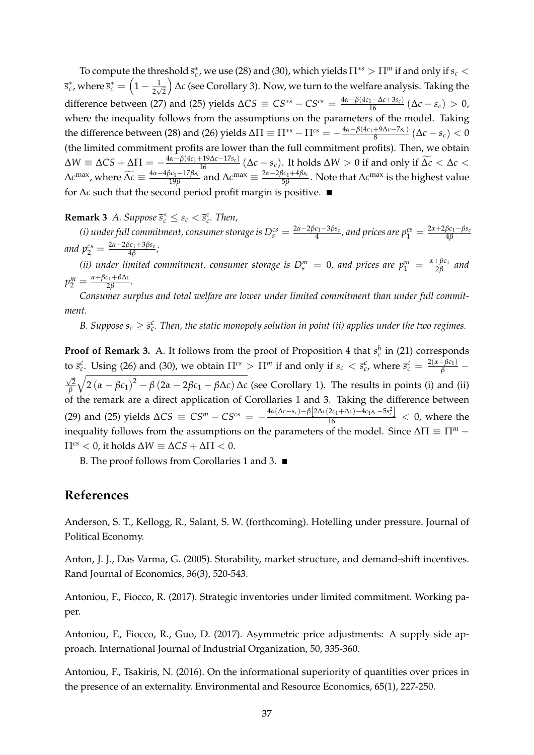To compute the threshold  $\bar{s}_c^*$ , we use (28) and (30), which yields  $\Pi^{*s} > \Pi^m$  if and only if  $s_c$  $\overline{s}^*_c$  , where  $\overline{s}^*_c = \left(1 - \frac{1}{2\sqrt{2}}\right)$  ∆*c* (see Corollary 3). Now, we turn to the welfare analysis. Taking the difference between (27) and (25) yields  $\Delta CS \equiv CS^{*s} - CS^{cs} = \frac{4\alpha - \beta(4c_1 - \Delta c + 3s_c)}{16} (\Delta c - s_c) > 0$ , where the inequality follows from the assumptions on the parameters of the model. Taking the difference between (28) and (26) yields  $\Delta \Pi \equiv \Pi^{*s} - \Pi^{cs} = -\frac{4\alpha - \beta(4c_1 + 9\Delta c - 7s_c)}{8}$  $\frac{+9\Delta c - 7s_c}{8}$  ( $\Delta c - s_c$ ) < 0 (the limited commitment profits are lower than the full commitment profits). Then, we obtain  $\Delta W \equiv \Delta CS + \Delta \Pi = -\frac{4\alpha - \beta(4c_1 + 19\Delta c - 17s_c)}{4\alpha - \beta(4c_1 + 17\delta_c)} (\Delta c - s_c)$ . It holds  $\Delta W > 0$  if and only if  $\widetilde{\Delta c} < \Delta c <$  $\Delta$ *c*<sup>max</sup>, where  $\widetilde{\Delta c} \equiv \frac{4\alpha - 4\beta c_1 + 17\beta s_c}{19\beta}$  $\frac{\beta c_1 + 17\beta s_c}{19\beta}$  and Δ*c*<sup>max</sup>  $\equiv \frac{2\alpha - 2\beta c_1 + 4\beta s_c}{5\beta}$ 5*β* . Note that ∆*c* max is the highest value for ∆*c* such that the second period profit margin is positive.

**Remark 3** *A. Suppose*  $\bar{s}_c^* \leq s_c < \bar{s}_c^c$ . Then,

*(i) under full commitment, consumer storage is*  $D_s^{cs} = \frac{2\alpha - 2\beta c_1 - 3\beta s_c}{4}$  $\frac{a_1-3\beta s_c}{4}$ , and prices are  $p_1^{cs}=\frac{2\alpha+2\beta c_1-\beta s_c}{4\beta}$ 4*β*  $and p_2^{cs} = \frac{2\alpha + 2\beta c_1 + 3\beta s_c}{4\beta}$ 4*β ;*

*(ii)* under limited commitment, consumer storage is  $D_s^m = 0$ , and prices are  $p_1^m = \frac{\alpha + \beta c_1}{2\beta}$ 2*β and*  $p_2^m = \frac{\alpha + \beta c_1 + \beta \Delta c}{2\beta}$ 2*β .*

*Consumer surplus and total welfare are lower under limited commitment than under full commitment.*

*B.* Suppose  $s_c \geq \bar{s}_c^c$ . Then, the static monopoly solution in point (ii) applies under the two regimes.

**Proof of Remark 3.** A. It follows from the proof of Proposition 4 that  $s_c^h$  in (21) corresponds to  $\bar{s}_c^c$ . Using (26) and (30), we obtain  $\Pi^{cs} > \Pi^m$  if and only if  $s_c < \bar{s}_c^c$ , where  $\bar{s}_c^c = \frac{2(\alpha - \beta c_1)}{\beta}$  $\sqrt{2}$ *β*  $\sqrt{2(\alpha - \beta c_1)^2 - \beta (2\alpha - 2\beta c_1 - \beta \Delta c) \Delta c}$  (see Corollary 1). The results in points (i) and (ii) of the remark are a direct application of Corollaries 1 and 3. Taking the difference between (29) and (25) yields  $\Delta CS \equiv CS^m - CS^{cs} = -\frac{4\alpha(\Delta c - s_c) - \beta[2\Delta c(2c_1 + \Delta c) - 4c_1s_c - 5s_c^2]}{16} < 0$ , where the inequality follows from the assumptions on the parameters of the model. Since  $\Delta\Pi \equiv \Pi^m$  −  $\Pi^{cs}$  < 0, it holds  $\Delta W \equiv \Delta CS + \Delta \Pi$  < 0.

B. The proof follows from Corollaries 1 and 3.

## **References**

Anderson, S. T., Kellogg, R., Salant, S. W. (forthcoming). Hotelling under pressure. Journal of Political Economy.

Anton, J. J., Das Varma, G. (2005). Storability, market structure, and demand-shift incentives. Rand Journal of Economics, 36(3), 520-543.

Antoniou, F., Fiocco, R. (2017). Strategic inventories under limited commitment. Working paper.

Antoniou, F., Fiocco, R., Guo, D. (2017). Asymmetric price adjustments: A supply side approach. International Journal of Industrial Organization, 50, 335-360.

Antoniou, F., Tsakiris, N. (2016). On the informational superiority of quantities over prices in the presence of an externality. Environmental and Resource Economics, 65(1), 227-250.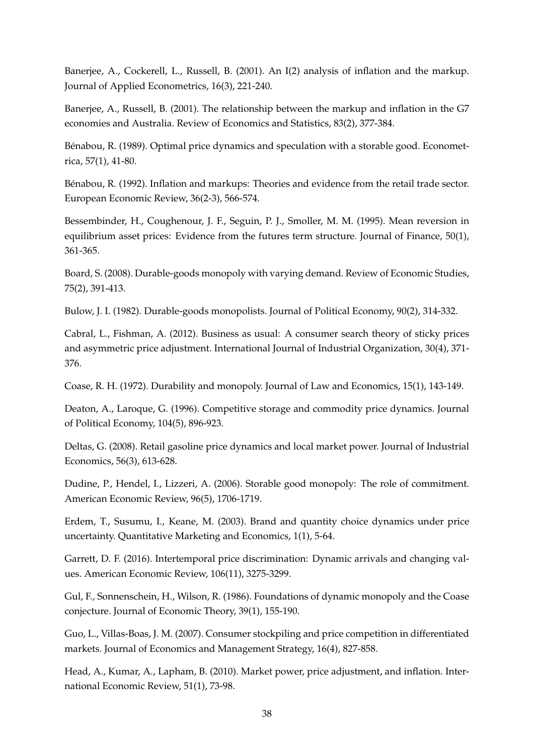Banerjee, A., Cockerell, L., Russell, B. (2001). An I(2) analysis of inflation and the markup. Journal of Applied Econometrics, 16(3), 221-240.

Banerjee, A., Russell, B. (2001). The relationship between the markup and inflation in the G7 economies and Australia. Review of Economics and Statistics, 83(2), 377-384.

Bénabou, R. (1989). Optimal price dynamics and speculation with a storable good. Econometrica, 57(1), 41-80.

Bénabou, R. (1992). Inflation and markups: Theories and evidence from the retail trade sector. European Economic Review, 36(2-3), 566-574.

Bessembinder, H., Coughenour, J. F., Seguin, P. J., Smoller, M. M. (1995). Mean reversion in equilibrium asset prices: Evidence from the futures term structure. Journal of Finance, 50(1), 361-365.

Board, S. (2008). Durable-goods monopoly with varying demand. Review of Economic Studies, 75(2), 391-413.

Bulow, J. I. (1982). Durable-goods monopolists. Journal of Political Economy, 90(2), 314-332.

Cabral, L., Fishman, A. (2012). Business as usual: A consumer search theory of sticky prices and asymmetric price adjustment. International Journal of Industrial Organization, 30(4), 371- 376.

Coase, R. H. (1972). Durability and monopoly. Journal of Law and Economics, 15(1), 143-149.

Deaton, A., Laroque, G. (1996). Competitive storage and commodity price dynamics. Journal of Political Economy, 104(5), 896-923.

Deltas, G. (2008). Retail gasoline price dynamics and local market power. Journal of Industrial Economics, 56(3), 613-628.

Dudine, P., Hendel, I., Lizzeri, A. (2006). Storable good monopoly: The role of commitment. American Economic Review, 96(5), 1706-1719.

Erdem, T., Susumu, I., Keane, M. (2003). Brand and quantity choice dynamics under price uncertainty. Quantitative Marketing and Economics, 1(1), 5-64.

Garrett, D. F. (2016). Intertemporal price discrimination: Dynamic arrivals and changing values. American Economic Review, 106(11), 3275-3299.

Gul, F., Sonnenschein, H., Wilson, R. (1986). Foundations of dynamic monopoly and the Coase conjecture. Journal of Economic Theory, 39(1), 155-190.

Guo, L., Villas-Boas, J. M. (2007). Consumer stockpiling and price competition in differentiated markets. Journal of Economics and Management Strategy, 16(4), 827-858.

Head, A., Kumar, A., Lapham, B. (2010). Market power, price adjustment, and inflation. International Economic Review, 51(1), 73-98.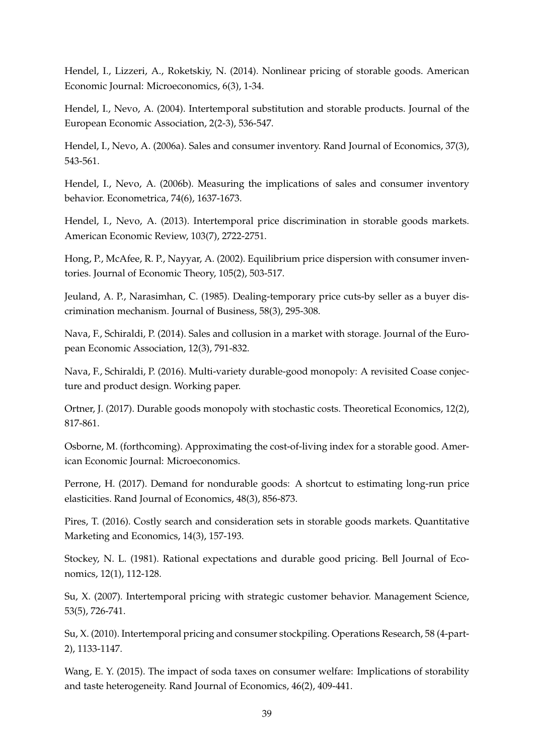Hendel, I., Lizzeri, A., Roketskiy, N. (2014). Nonlinear pricing of storable goods. American Economic Journal: Microeconomics, 6(3), 1-34.

Hendel, I., Nevo, A. (2004). Intertemporal substitution and storable products. Journal of the European Economic Association, 2(2-3), 536-547.

Hendel, I., Nevo, A. (2006a). Sales and consumer inventory. Rand Journal of Economics, 37(3), 543-561.

Hendel, I., Nevo, A. (2006b). Measuring the implications of sales and consumer inventory behavior. Econometrica, 74(6), 1637-1673.

Hendel, I., Nevo, A. (2013). Intertemporal price discrimination in storable goods markets. American Economic Review, 103(7), 2722-2751.

Hong, P., McAfee, R. P., Nayyar, A. (2002). Equilibrium price dispersion with consumer inventories. Journal of Economic Theory, 105(2), 503-517.

Jeuland, A. P., Narasimhan, C. (1985). Dealing-temporary price cuts-by seller as a buyer discrimination mechanism. Journal of Business, 58(3), 295-308.

Nava, F., Schiraldi, P. (2014). Sales and collusion in a market with storage. Journal of the European Economic Association, 12(3), 791-832.

Nava, F., Schiraldi, P. (2016). Multi-variety durable-good monopoly: A revisited Coase conjecture and product design. Working paper.

Ortner, J. (2017). Durable goods monopoly with stochastic costs. Theoretical Economics, 12(2), 817-861.

Osborne, M. (forthcoming). Approximating the cost-of-living index for a storable good. American Economic Journal: Microeconomics.

Perrone, H. (2017). Demand for nondurable goods: A shortcut to estimating long-run price elasticities. Rand Journal of Economics, 48(3), 856-873.

Pires, T. (2016). Costly search and consideration sets in storable goods markets. Quantitative Marketing and Economics, 14(3), 157-193.

Stockey, N. L. (1981). Rational expectations and durable good pricing. Bell Journal of Economics, 12(1), 112-128.

Su, X. (2007). Intertemporal pricing with strategic customer behavior. Management Science, 53(5), 726-741.

Su, X. (2010). Intertemporal pricing and consumer stockpiling. Operations Research, 58 (4-part-2), 1133-1147.

Wang, E. Y. (2015). The impact of soda taxes on consumer welfare: Implications of storability and taste heterogeneity. Rand Journal of Economics, 46(2), 409-441.